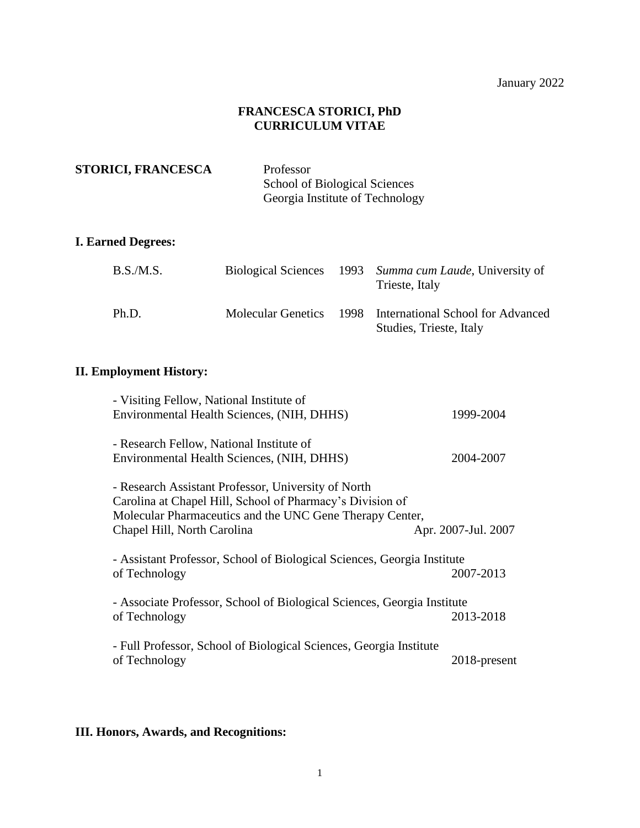## **FRANCESCA STORICI, PhD CURRICULUM VITAE**

**STORICI, FRANCESCA** Professor

School of Biological Sciences Georgia Institute of Technology

## **I. Earned Degrees:**

| B.S.M.S. |  | Biological Sciences 1993 Summa cum Laude, University of<br>Trieste, Italy            |
|----------|--|--------------------------------------------------------------------------------------|
| Ph.D.    |  | Molecular Genetics 1998 International School for Advanced<br>Studies, Trieste, Italy |

# **II. Employment History:**

| - Visiting Fellow, National Institute of                                |                     |
|-------------------------------------------------------------------------|---------------------|
| Environmental Health Sciences, (NIH, DHHS)                              | 1999-2004           |
| - Research Fellow, National Institute of                                |                     |
|                                                                         |                     |
| Environmental Health Sciences, (NIH, DHHS)                              | 2004-2007           |
| - Research Assistant Professor, University of North                     |                     |
| Carolina at Chapel Hill, School of Pharmacy's Division of               |                     |
| Molecular Pharmaceutics and the UNC Gene Therapy Center,                |                     |
| Chapel Hill, North Carolina                                             | Apr. 2007-Jul. 2007 |
| - Assistant Professor, School of Biological Sciences, Georgia Institute |                     |
|                                                                         |                     |
| of Technology                                                           | 2007-2013           |
| - Associate Professor, School of Biological Sciences, Georgia Institute |                     |
| of Technology                                                           | 2013-2018           |
|                                                                         |                     |
| - Full Professor, School of Biological Sciences, Georgia Institute      |                     |
| of Technology                                                           | 2018-present        |
|                                                                         |                     |

# **III. Honors, Awards, and Recognitions:**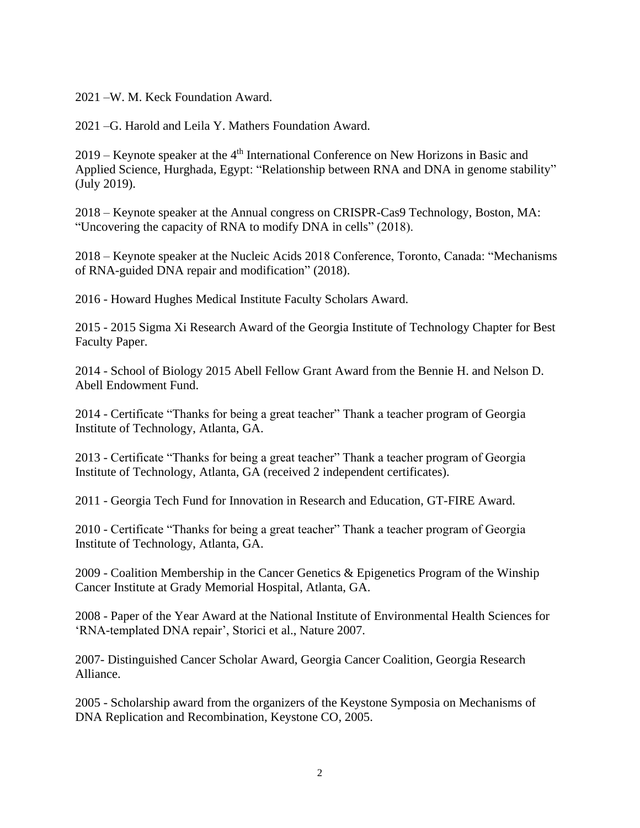2021 –W. M. Keck Foundation Award.

2021 –G. Harold and Leila Y. Mathers Foundation Award.

2019 – Keynote speaker at the 4<sup>th</sup> International Conference on New Horizons in Basic and Applied Science, Hurghada, Egypt: "Relationship between RNA and DNA in genome stability" (July 2019).

2018 – Keynote speaker at the Annual congress on CRISPR-Cas9 Technology, Boston, MA: "Uncovering the capacity of RNA to modify DNA in cells" (2018).

2018 – Keynote speaker at the Nucleic Acids 2018 Conference, Toronto, Canada: "Mechanisms of RNA-guided DNA repair and modification" (2018).

2016 - Howard Hughes Medical Institute Faculty Scholars Award.

2015 - 2015 Sigma Xi Research Award of the Georgia Institute of Technology Chapter for Best Faculty Paper.

2014 - School of Biology 2015 Abell Fellow Grant Award from the Bennie H. and Nelson D. Abell Endowment Fund.

2014 - Certificate "Thanks for being a great teacher" Thank a teacher program of Georgia Institute of Technology, Atlanta, GA.

2013 - Certificate "Thanks for being a great teacher" Thank a teacher program of Georgia Institute of Technology, Atlanta, GA (received 2 independent certificates).

2011 - Georgia Tech Fund for Innovation in Research and Education, GT-FIRE Award.

2010 - Certificate "Thanks for being a great teacher" Thank a teacher program of Georgia Institute of Technology, Atlanta, GA.

2009 - Coalition Membership in the Cancer Genetics & Epigenetics Program of the Winship Cancer Institute at Grady Memorial Hospital, Atlanta, GA.

2008 - Paper of the Year Award at the National Institute of Environmental Health Sciences for 'RNA-templated DNA repair', Storici et al., Nature 2007.

2007- Distinguished Cancer Scholar Award, Georgia Cancer Coalition, Georgia Research Alliance.

2005 - Scholarship award from the organizers of the Keystone Symposia on Mechanisms of DNA Replication and Recombination, Keystone CO, 2005.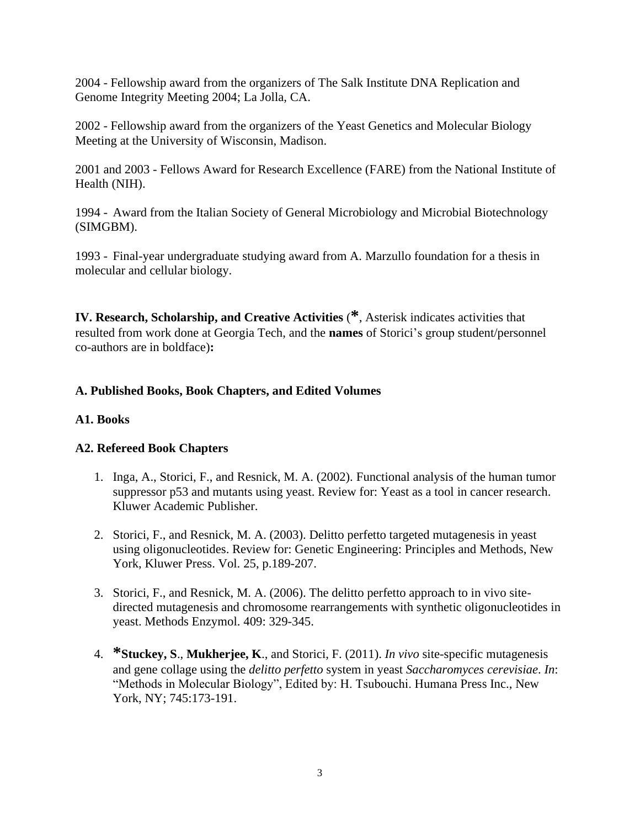2004 - Fellowship award from the organizers of The Salk Institute DNA Replication and Genome Integrity Meeting 2004; La Jolla, CA.

2002 - Fellowship award from the organizers of the Yeast Genetics and Molecular Biology Meeting at the University of Wisconsin, Madison.

2001 and 2003 - Fellows Award for Research Excellence (FARE) from the National Institute of Health (NIH).

1994 - Award from the Italian Society of General Microbiology and Microbial Biotechnology (SIMGBM).

1993 - Final-year undergraduate studying award from A. Marzullo foundation for a thesis in molecular and cellular biology.

**IV. Research, Scholarship, and Creative Activities** (**\***, Asterisk indicates activities that resulted from work done at Georgia Tech, and the **names** of Storici's group student/personnel co-authors are in boldface)**:**

## **A. Published Books, Book Chapters, and Edited Volumes**

## **A1. Books**

## **A2. Refereed Book Chapters**

- 1. Inga, A., Storici, F., and Resnick, M. A. (2002). Functional analysis of the human tumor suppressor p53 and mutants using yeast. Review for: Yeast as a tool in cancer research. Kluwer Academic Publisher.
- 2. Storici, F., and Resnick, M. A. (2003). Delitto perfetto targeted mutagenesis in yeast using oligonucleotides. Review for: Genetic Engineering: Principles and Methods, New York, Kluwer Press. Vol. 25, p.189-207.
- 3. Storici, F., and Resnick, M. A. (2006). The delitto perfetto approach to in vivo sitedirected mutagenesis and chromosome rearrangements with synthetic oligonucleotides in yeast. Methods Enzymol. 409: 329-345.
- 4. **\*Stuckey, S**., **Mukherjee, K**., and Storici, F. (2011). *In vivo* site-specific mutagenesis and gene collage using the *delitto perfetto* system in yeast *Saccharomyces cerevisiae*. *In*: "Methods in Molecular Biology", Edited by: H. Tsubouchi. Humana Press Inc., New York, NY; 745:173-191.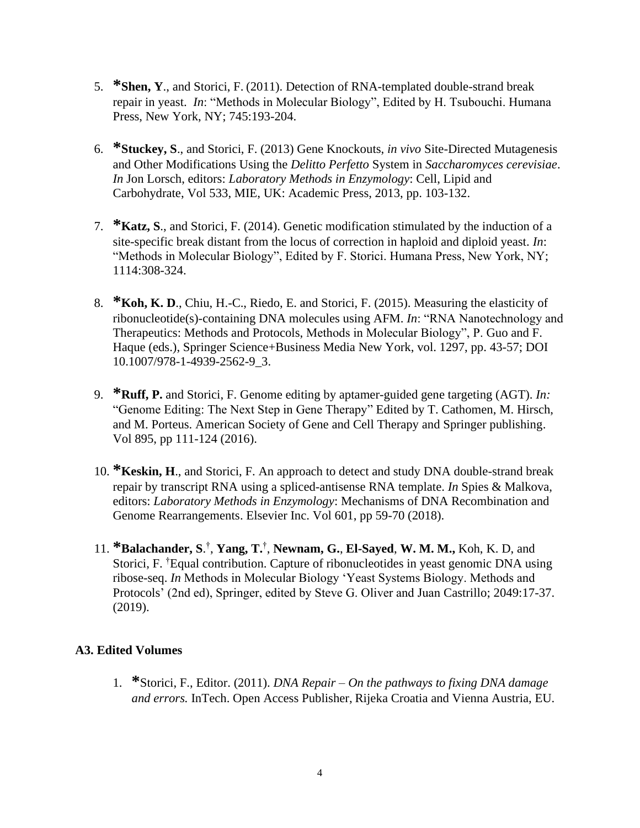- 5. **\*Shen, Y**., and Storici, F. (2011). Detection of RNA-templated double-strand break repair in yeast. *In*: "Methods in Molecular Biology", Edited by H. Tsubouchi. Humana Press, New York, NY; 745:193-204.
- 6. **\*Stuckey, S**., and Storici, F. (2013) Gene Knockouts, *in vivo* Site-Directed Mutagenesis and Other Modifications Using the *Delitto Perfetto* System in *Saccharomyces cerevisiae*. *In* Jon Lorsch, editors: *Laboratory Methods in Enzymology*: Cell, Lipid and Carbohydrate, Vol 533, MIE, UK: Academic Press, 2013, pp. 103-132.
- 7. **\*Katz, S**., and Storici, F. (2014). Genetic modification stimulated by the induction of a site-specific break distant from the locus of correction in haploid and diploid yeast. *In*: "Methods in Molecular Biology", Edited by F. Storici. Humana Press, New York, NY; 1114:308-324.
- 8. **\*Koh, K. D**., Chiu, H.-C., Riedo, E. and Storici, F. (2015). Measuring the elasticity of ribonucleotide(s)-containing DNA molecules using AFM. *In*: "RNA Nanotechnology and Therapeutics: Methods and Protocols, Methods in Molecular Biology", P. Guo and F. Haque (eds.), Springer Science+Business Media New York, vol. 1297, pp. 43-57; DOI 10.1007/978-1-4939-2562-9\_3.
- 9. **\*Ruff, P.** and Storici, F. Genome editing by aptamer-guided gene targeting (AGT). *In:* "Genome Editing: The Next Step in Gene Therapy" Edited by T. Cathomen, M. Hirsch, and M. Porteus. American Society of Gene and Cell Therapy and Springer publishing. Vol 895, pp 111-124 (2016).
- 10. **\*Keskin, H**., and Storici, F. An approach to detect and study DNA double-strand break repair by transcript RNA using a spliced-antisense RNA template. *In* Spies & Malkova, editors: *Laboratory Methods in Enzymology*: Mechanisms of DNA Recombination and Genome Rearrangements. Elsevier Inc. Vol 601, pp 59-70 (2018).
- 11. **\*Balachander, S**. † , **Yang, T.** † , **Newnam, G.**, **El-Sayed**, **W. M. M.,** Koh, K. D, and Storici, F. †Equal contribution. Capture of ribonucleotides in yeast genomic DNA using ribose-seq. *In* Methods in Molecular Biology 'Yeast Systems Biology. Methods and Protocols' (2nd ed), Springer, edited by Steve G. Oliver and Juan Castrillo; 2049:17-37. (2019).

## **A3. Edited Volumes**

1. **\***Storici, F., Editor. (2011). *DNA Repair – On the pathways to fixing DNA damage and errors.* InTech. Open Access Publisher, Rijeka Croatia and Vienna Austria, EU.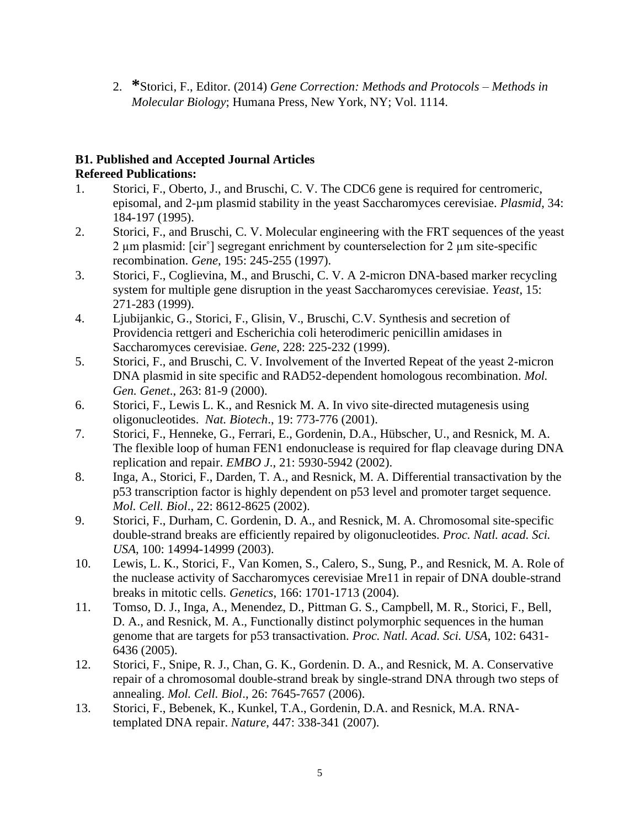2. **\***Storici, F., Editor. (2014) *Gene Correction: Methods and Protocols – Methods in Molecular Biology*; Humana Press, New York, NY; Vol. 1114.

# **B1. Published and Accepted Journal Articles Refereed Publications:**

- 1. Storici, F., Oberto, J., and Bruschi, C. V. The CDC6 gene is required for centromeric, episomal, and 2-µm plasmid stability in the yeast Saccharomyces cerevisiae. *Plasmid*, 34: 184-197 (1995).
- 2. Storici, F., and Bruschi, C. V. Molecular engineering with the FRT sequences of the yeast 2 µm plasmid: [cir˚] segregant enrichment by counterselection for 2 µm site-specific recombination. *Gene*, 195: 245-255 (1997).
- 3. Storici, F., Coglievina, M., and Bruschi, C. V. A 2-micron DNA-based marker recycling system for multiple gene disruption in the yeast Saccharomyces cerevisiae. *Yeast*, 15: 271-283 (1999).
- 4. Ljubijankic, G., Storici, F., Glisin, V., Bruschi, C.V. Synthesis and secretion of Providencia rettgeri and Escherichia coli heterodimeric penicillin amidases in Saccharomyces cerevisiae. *Gene*, 228: 225-232 (1999).
- 5. Storici, F., and Bruschi, C. V. Involvement of the Inverted Repeat of the yeast 2-micron DNA plasmid in site specific and RAD52-dependent homologous recombination. *Mol. Gen. Genet*., 263: 81-9 (2000).
- 6. Storici, F., Lewis L. K., and Resnick M. A. In vivo site-directed mutagenesis using oligonucleotides. *Nat. Biotech*., 19: 773-776 (2001).
- 7. Storici, F., Henneke, G., Ferrari, E., Gordenin, D.A., Hübscher, U., and Resnick, M. A. The flexible loop of human FEN1 endonuclease is required for flap cleavage during DNA replication and repair. *EMBO J*., 21: 5930-5942 (2002).
- 8. Inga, A., Storici, F., Darden, T. A., and Resnick, M. A. Differential transactivation by the p53 transcription factor is highly dependent on p53 level and promoter target sequence. *Mol. Cell. Biol*., 22: 8612-8625 (2002).
- 9. Storici, F., Durham, C. Gordenin, D. A., and Resnick, M. A. Chromosomal site-specific double-strand breaks are efficiently repaired by oligonucleotides*. Proc. Natl. acad. Sci. USA*, 100: 14994-14999 (2003).
- 10. Lewis, L. K., Storici, F., Van Komen, S., Calero, S., Sung, P., and Resnick, M. A. Role of the nuclease activity of Saccharomyces cerevisiae Mre11 in repair of DNA double-strand breaks in mitotic cells. *Genetics*, 166: 1701-1713 (2004).
- 11. Tomso, D. J., Inga, A., Menendez, D., Pittman G. S., Campbell, M. R., Storici, F., Bell, D. A., and Resnick, M. A., Functionally distinct polymorphic sequences in the human genome that are targets for p53 transactivation. *Proc. Natl. Acad. Sci. USA*, 102: 6431- 6436 (2005).
- 12. Storici, F., Snipe, R. J., Chan, G. K., Gordenin. D. A., and Resnick, M. A. Conservative repair of a chromosomal double-strand break by single-strand DNA through two steps of annealing. *Mol. Cell. Biol*., 26: 7645-7657 (2006).
- 13. Storici, F., Bebenek, K., Kunkel, T.A., Gordenin, D.A. and Resnick, M.A. RNAtemplated DNA repair. *Nature*, 447: 338-341 (2007).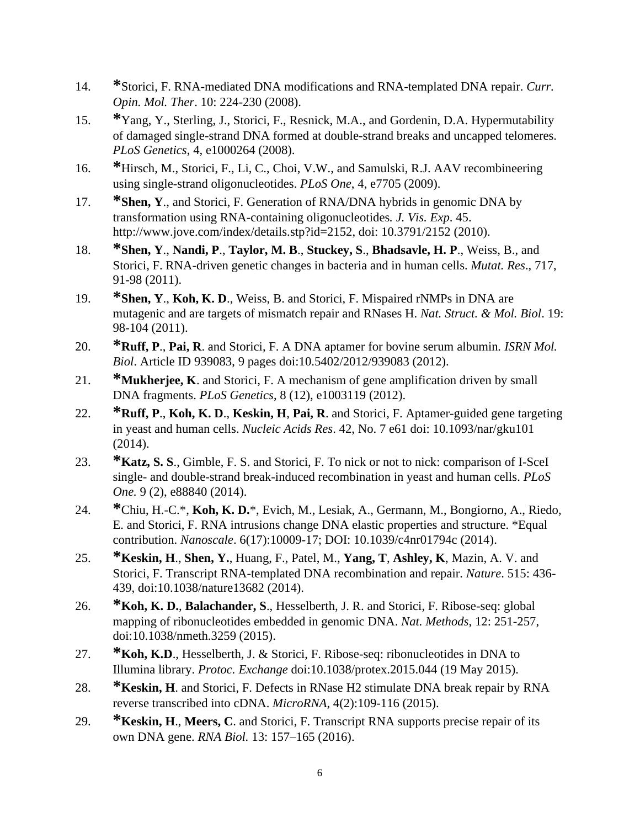- 14. **\***Storici, F. RNA-mediated DNA modifications and RNA-templated DNA repair. *Curr. Opin. Mol. Ther*. 10: 224-230 (2008).
- 15. **\***Yang, Y., Sterling, J., Storici, F., Resnick, M.A., and Gordenin, D.A. Hypermutability of damaged single-strand DNA formed at double-strand breaks and uncapped telomeres. *PLoS Genetics*, 4, e1000264 (2008).
- 16. **\***Hirsch, M., Storici, F., Li, C., Choi, V.W., and Samulski, R.J. AAV recombineering using single-strand oligonucleotides. *PLoS One*, 4, e7705 (2009).
- 17. **\*Shen, Y**., and Storici, F. Generation of RNA/DNA hybrids in genomic DNA by transformation using RNA-containing oligonucleotides*. J. Vis. Exp*. 45. http://www.jove.com/index/details.stp?id=2152, doi: 10.3791/2152 (2010).
- 18. **\*Shen, Y**., **Nandi, P**., **Taylor, M. B**., **Stuckey, S**., **Bhadsavle, H. P**., Weiss, B., and Storici, F. RNA-driven genetic changes in bacteria and in human cells. *Mutat. Res*., 717, 91-98 (2011).
- 19. **\*Shen, Y**., **Koh, K. D**., Weiss, B. and Storici, F. Mispaired rNMPs in DNA are mutagenic and are targets of mismatch repair and RNases H. *Nat. Struct. & Mol. Biol*. 19: 98-104 (2011).
- 20. **\*Ruff, P**., **Pai, R**. and Storici, F. A DNA aptamer for bovine serum albumin*. ISRN Mol. Biol*. Article ID 939083, 9 pages doi:10.5402/2012/939083 (2012).
- 21. **\*Mukherjee, K**. and Storici, F. A mechanism of gene amplification driven by small DNA fragments. *PLoS Genetics*, 8 (12), e1003119 (2012).
- 22. **\*Ruff, P**., **Koh, K. D**., **Keskin, H**, **Pai, R**. and Storici, F. Aptamer-guided gene targeting in yeast and human cells. *Nucleic Acids Res*. 42, No. 7 e61 doi: 10.1093/nar/gku101 (2014).
- 23. **\*Katz, S. S**., Gimble, F. S. and Storici, F. To nick or not to nick: comparison of I-SceI single- and double-strand break-induced recombination in yeast and human cells. *PLoS One.* 9 (2), e88840 (2014).
- 24. **\***Chiu, H.-C.\*, **Koh, K. D.**\*, Evich, M., Lesiak, A., Germann, M., Bongiorno, A., Riedo, E. and Storici, F. RNA intrusions change DNA elastic properties and structure. \*Equal contribution. *Nanoscale*. 6(17):10009-17; DOI: 10.1039/c4nr01794c (2014).
- 25. **\*Keskin, H**., **Shen, Y.**, Huang, F., Patel, M., **Yang, T**, **Ashley, K**, Mazin, A. V. and Storici, F. Transcript RNA-templated DNA recombination and repair. *Nature*. 515: 436- 439, doi:10.1038/nature13682 (2014).
- 26. **\*Koh, K. D.**, **Balachander, S**., Hesselberth, J. R. and Storici, F. Ribose-seq: global mapping of ribonucleotides embedded in genomic DNA. *Nat. Methods*, 12: 251-257, doi:10.1038/nmeth.3259 (2015).
- 27. **\*Koh, K.D**., Hesselberth, J. & Storici, F. Ribose-seq: ribonucleotides in DNA to Illumina library. *Protoc. Exchange* doi:10.1038/protex.2015.044 (19 May 2015).
- 28. **\*Keskin, H**. and Storici, F. Defects in RNase H2 stimulate DNA break repair by RNA reverse transcribed into cDNA. *MicroRNA*, 4(2):109-116 (2015).
- 29. **\*Keskin, H**., **Meers, C**. and Storici, F. Transcript RNA supports precise repair of its own DNA gene. *RNA Biol.* 13: 157–165 (2016).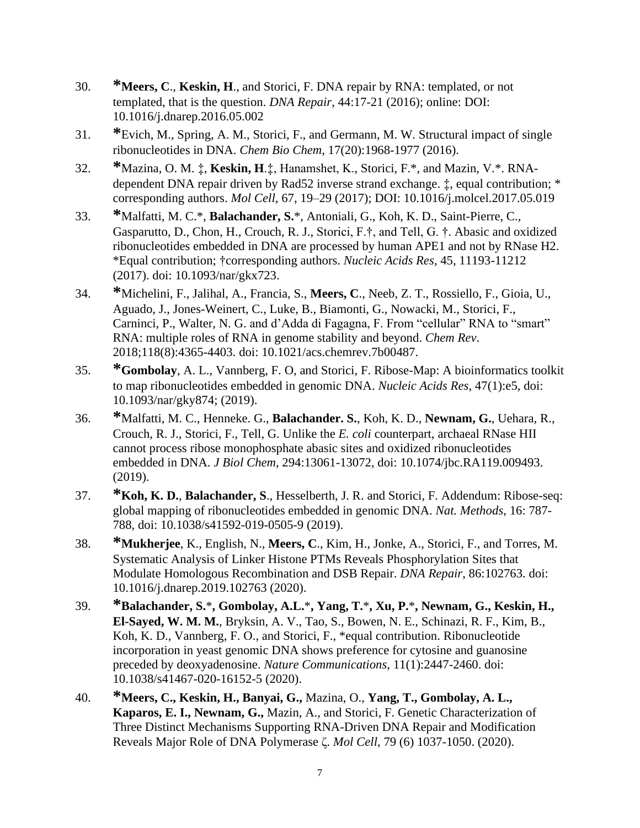- 30. **\*Meers, C**., **Keskin, H**., and Storici, F. DNA repair by RNA: templated, or not templated, that is the question. *DNA Repair*, 44:17-21 (2016); online: DOI: 10.1016/j.dnarep.2016.05.002
- 31. **\***Evich, M., Spring, A. M., Storici, F., and Germann, M. W. Structural impact of single ribonucleotides in DNA. *Chem Bio Chem*, 17(20):1968-1977 (2016).
- 32. **\***Mazina, O. M. ‡, **Keskin, H**.‡, Hanamshet, K., Storici, F.\*, and Mazin, V.\*. RNAdependent DNA repair driven by Rad52 inverse strand exchange. ‡, equal contribution; \* corresponding authors. *Mol Cell*, 67, 19–29 (2017); [DOI:](http://dx.doi.org/10.1016/j.molcel.2017.05.019) 10.1016/j.molcel.2017.05.019
- 33. **\***Malfatti, M. C.\*, **Balachander, S.**\*, Antoniali, G., Koh, K. D., Saint-Pierre, C., Gasparutto, D., Chon, H., Crouch, R. J., Storici, F.†, and Tell, G. †. Abasic and oxidized ribonucleotides embedded in DNA are processed by human APE1 and not by RNase H2. \*Equal contribution; †corresponding authors. *Nucleic Acids Res*, 45, 11193-11212 (2017). doi: 10.1093/nar/gkx723.
- 34. **\***Michelini, F., Jalihal, A., Francia, S., **Meers, C**., Neeb, Z. T., Rossiello, F., Gioia, U., Aguado, J., Jones-Weinert, C., Luke, B., Biamonti, G., Nowacki, M., Storici, F., Carninci, P., Walter, N. G. and d'Adda di Fagagna, F. From "cellular" RNA to "smart" RNA: multiple roles of RNA in genome stability and beyond. *Chem Rev*. 2018;118(8):4365-4403. doi: 10.1021/acs.chemrev.7b00487.
- 35. **\*Gombolay**, A. L., Vannberg, F. O, and Storici, F. Ribose-Map: A bioinformatics toolkit to map ribonucleotides embedded in genomic DNA. *Nucleic Acids Res*, 47(1):e5, doi: 10.1093/nar/gky874; (2019).
- 36. **\***Malfatti, M. C., Henneke. G., **Balachander. S.**, Koh, K. D., **Newnam, G.**, Uehara, R., Crouch, R. J., Storici, F., Tell, G. Unlike the *E. coli* counterpart, archaeal RNase HII cannot process ribose monophosphate abasic sites and oxidized ribonucleotides embedded in DNA. *J Biol Chem*, 294:13061-13072, doi: 10.1074/jbc.RA119.009493. (2019).
- 37. **\*Koh, K. D.**, **Balachander, S**., Hesselberth, J. R. and Storici, F. Addendum: Ribose-seq: global mapping of ribonucleotides embedded in genomic DNA. *Nat. Methods*, 16: 787- 788, doi: 10.1038/s41592-019-0505-9 (2019).
- 38. **\*Mukherjee**, K., English, N., **Meers, C**., Kim, H., Jonke, A., Storici, F., and Torres, M. Systematic Analysis of Linker Histone PTMs Reveals Phosphorylation Sites that Modulate Homologous Recombination and DSB Repair. *DNA Repair*, 86:102763. doi: 10.1016/j.dnarep.2019.102763 (2020).
- 39. **\*Balachander, S.**\***, Gombolay, A.L.**\***, Yang, T.**\***, Xu, P.**\***, Newnam, G., Keskin, H., El-Sayed, W. M. M.**, Bryksin, A. V., Tao, S., Bowen, N. E., Schinazi, R. F., Kim, B., Koh, K. D., Vannberg, F. O., and Storici, F., \*equal contribution. Ribonucleotide incorporation in yeast genomic DNA shows preference for cytosine and guanosine preceded by deoxyadenosine. *Nature Communications*, 11(1):2447-2460. doi: 10.1038/s41467-020-16152-5 (2020).
- 40. **\*Meers, C., Keskin, H., Banyai, G.,** Mazina, O., **Yang, T., Gombolay, A. L., Kaparos, E. I., Newnam, G.,** Mazin, A., and Storici, F. Genetic Characterization of Three Distinct Mechanisms Supporting RNA-Driven DNA Repair and Modification Reveals Major Role of DNA Polymerase ζ. *Mol Cell*, 79 (6) 1037-1050. (2020).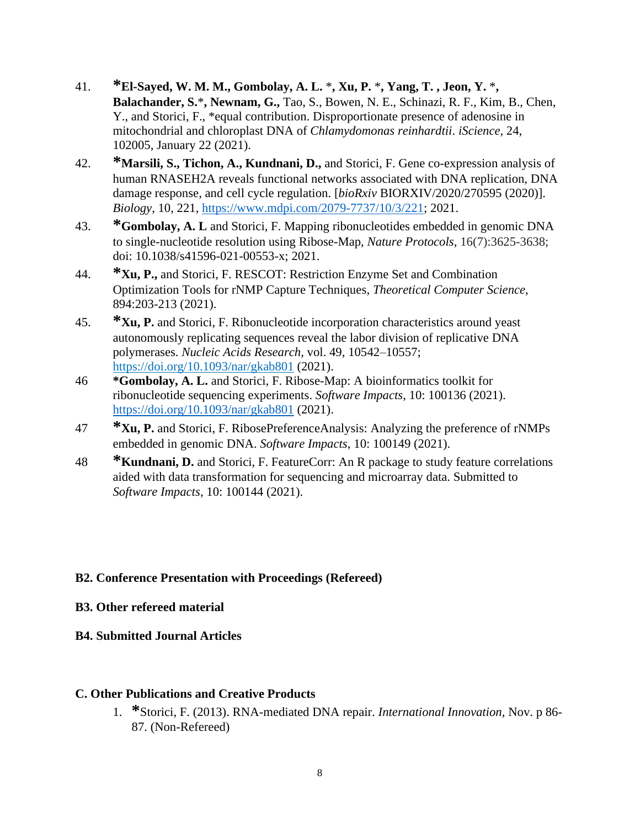- 41. **\*El-Sayed, W. M. M., Gombolay, A. L.** \***, Xu, P.** \***, Yang, T. , Jeon, Y.** \***, Balachander, S.**\***, Newnam, G.,** Tao, S., Bowen, N. E., Schinazi, R. F., Kim, B., Chen, Y., and Storici, F., \*equal contribution. Disproportionate presence of adenosine in mitochondrial and chloroplast DNA of *Chlamydomonas reinhardtii*. *iScience,* 24, 102005, January 22 (2021).
- 42. **\*Marsili, S., Tichon, A., Kundnani, D.,** and Storici, F. Gene co-expression analysis of human RNASEH2A reveals functional networks associated with DNA replication, DNA damage response, and cell cycle regulation. [*bioRxiv* BIORXIV/2020/270595 (2020)]. *Biology*, 10, 221, [https://www.mdpi.com/2079-7737/10/3/221;](https://www.mdpi.com/2079-7737/10/3/221) 2021.
- 43. **\*Gombolay, A. L** and Storici, F. Mapping ribonucleotides embedded in genomic DNA to single-nucleotide resolution using Ribose-Map, *Nature Protocols,* 16(7):3625-3638; doi: 10.1038/s41596-021-00553-x; 2021.
- 44. **\*Xu, P.,** and Storici, F. RESCOT: Restriction Enzyme Set and Combination Optimization Tools for rNMP Capture Techniques, *Theoretical Computer Science*, 894:203-213 (2021).
- 45. **\*Xu, P.** and Storici, F. Ribonucleotide incorporation characteristics around yeast autonomously replicating sequences reveal the labor division of replicative DNA polymerases. *Nucleic Acids Research,* vol. 49, 10542–10557; <https://doi.org/10.1093/nar/gkab801> (2021).
- 46 **\*Gombolay, A. L.** and Storici, F. Ribose-Map: A bioinformatics toolkit for ribonucleotide sequencing experiments. *Software Impacts*, 10: 100136 (2021). <https://doi.org/10.1093/nar/gkab801> (2021).
- 47 **\*Xu, P.** and Storici, F. RibosePreferenceAnalysis: Analyzing the preference of rNMPs embedded in genomic DNA. *Software Impacts*, 10: 100149 (2021).
- 48 **\*Kundnani, D.** and Storici, F. FeatureCorr: An R package to study feature correlations aided with data transformation for sequencing and microarray data. Submitted to *Software Impacts*, 10: 100144 (2021).

# **B2. Conference Presentation with Proceedings (Refereed)**

# **B3. Other refereed material**

# **B4. Submitted Journal Articles**

## **C. Other Publications and Creative Products**

1. **\***Storici, F. (2013). RNA-mediated DNA repair. *International Innovation*, Nov. p 86- 87. (Non-Refereed)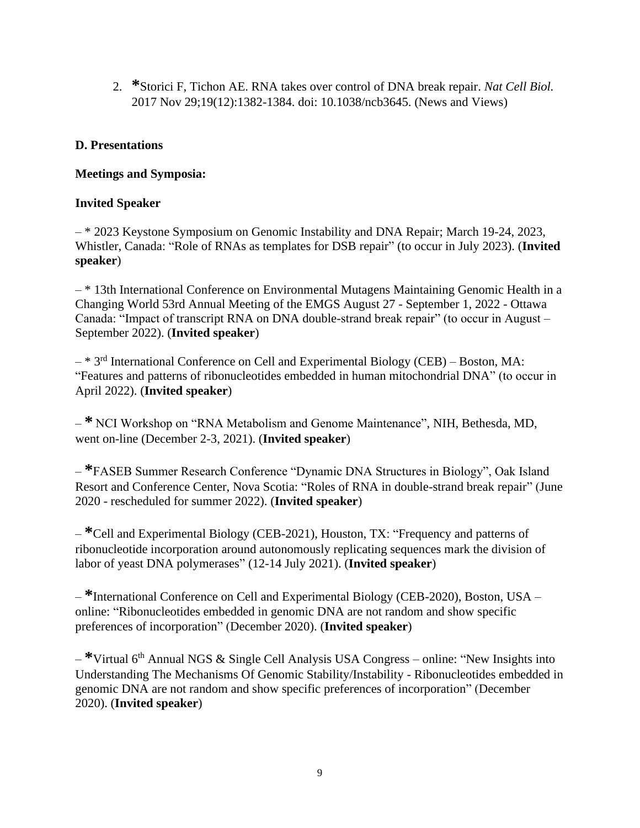2. **\***Storici F, Tichon AE. RNA takes over control of DNA break repair. *Nat Cell Biol.*  2017 Nov 29;19(12):1382-1384. doi: 10.1038/ncb3645. (News and Views)

### **D. Presentations**

### **Meetings and Symposia:**

### **Invited Speaker**

– \* 2023 Keystone Symposium on Genomic Instability and DNA Repair; March 19-24, 2023, Whistler, Canada: "Role of RNAs as templates for DSB repair" (to occur in July 2023). (**Invited speaker**)

– \* 13th International Conference on Environmental Mutagens Maintaining Genomic Health in a Changing World 53rd Annual Meeting of the EMGS August 27 - September 1, 2022 - Ottawa Canada: "Impact of transcript RNA on DNA double-strand break repair" (to occur in August – September 2022). (**Invited speaker**)

 $-$  \* 3<sup>rd</sup> International Conference on Cell and Experimental Biology (CEB) – Boston, MA: "Features and patterns of ribonucleotides embedded in human mitochondrial DNA" (to occur in April 2022). (**Invited speaker**)

– **\*** NCI Workshop on "RNA Metabolism and Genome Maintenance", NIH, Bethesda, MD, went on-line (December 2-3, 2021). (**Invited speaker**)

– **\***FASEB Summer Research Conference "Dynamic DNA Structures in Biology", Oak Island Resort and Conference Center, Nova Scotia: "Roles of RNA in double-strand break repair" (June 2020 - rescheduled for summer 2022). (**Invited speaker**)

– **\***Cell and Experimental Biology (CEB-2021), Houston, TX: "Frequency and patterns of ribonucleotide incorporation around autonomously replicating sequences mark the division of labor of yeast DNA polymerases" (12-14 July 2021). (**Invited speaker**)

– **\***International Conference on Cell and Experimental Biology (CEB-2020), Boston, USA – online: "Ribonucleotides embedded in genomic DNA are not random and show specific preferences of incorporation" (December 2020). (**Invited speaker**)

– **\***Virtual 6th Annual NGS & Single Cell Analysis USA Congress – online: "New Insights into Understanding The Mechanisms Of Genomic Stability/Instability - Ribonucleotides embedded in genomic DNA are not random and show specific preferences of incorporation" (December 2020). (**Invited speaker**)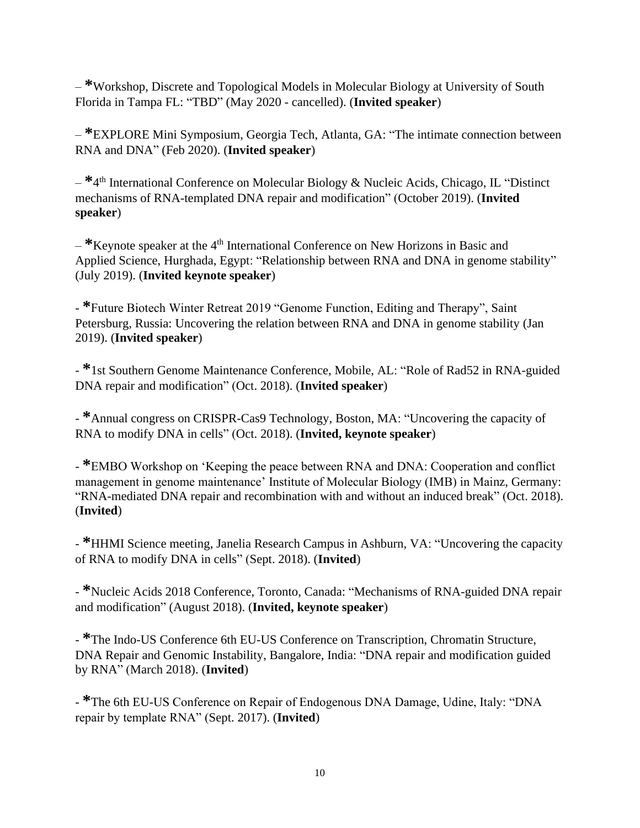– **\***Workshop, Discrete and Topological Models in Molecular Biology at University of South Florida in Tampa FL: "TBD" (May 2020 - cancelled). (**Invited speaker**)

– **\***EXPLORE Mini Symposium, Georgia Tech, Atlanta, GA: "The intimate connection between RNA and DNA" (Feb 2020). (**Invited speaker**)

– **\***4 th International Conference on Molecular Biology & Nucleic Acids, Chicago, IL "Distinct mechanisms of RNA-templated DNA repair and modification" (October 2019). (**Invited speaker**)

<sup>\*</sup>Keynote speaker at the 4<sup>th</sup> International Conference on New Horizons in Basic and Applied Science, Hurghada, Egypt: "Relationship between RNA and DNA in genome stability" (July 2019). (**Invited keynote speaker**)

- **\***Future Biotech Winter Retreat 2019 "Genome Function, Editing and Therapy", Saint Petersburg, Russia: Uncovering the relation between RNA and DNA in genome stability (Jan 2019). (**Invited speaker**)

- **\***1st Southern Genome Maintenance Conference, Mobile, AL: "Role of Rad52 in RNA-guided DNA repair and modification" (Oct. 2018). (**Invited speaker**)

- **\***Annual congress on CRISPR-Cas9 Technology, Boston, MA: "Uncovering the capacity of RNA to modify DNA in cells" (Oct. 2018). (**Invited, keynote speaker**)

- **\***EMBO Workshop on 'Keeping the peace between RNA and DNA: Cooperation and conflict management in genome maintenance' Institute of Molecular Biology (IMB) in Mainz, Germany: "RNA-mediated DNA repair and recombination with and without an induced break" (Oct. 2018). (**Invited**)

- **\***HHMI Science meeting, Janelia Research Campus in Ashburn, VA: "Uncovering the capacity of RNA to modify DNA in cells" (Sept. 2018). (**Invited**)

- **\***Nucleic Acids 2018 Conference, Toronto, Canada: "Mechanisms of RNA-guided DNA repair and modification" (August 2018). (**Invited, keynote speaker**)

- **\***The Indo-US Conference 6th EU-US Conference on Transcription, Chromatin Structure, DNA Repair and Genomic Instability, Bangalore, India: "DNA repair and modification guided by RNA" (March 2018). (**Invited**)

- **\***The 6th EU-US Conference on Repair of Endogenous DNA Damage, Udine, Italy: "DNA repair by template RNA" (Sept. 2017). (**Invited**)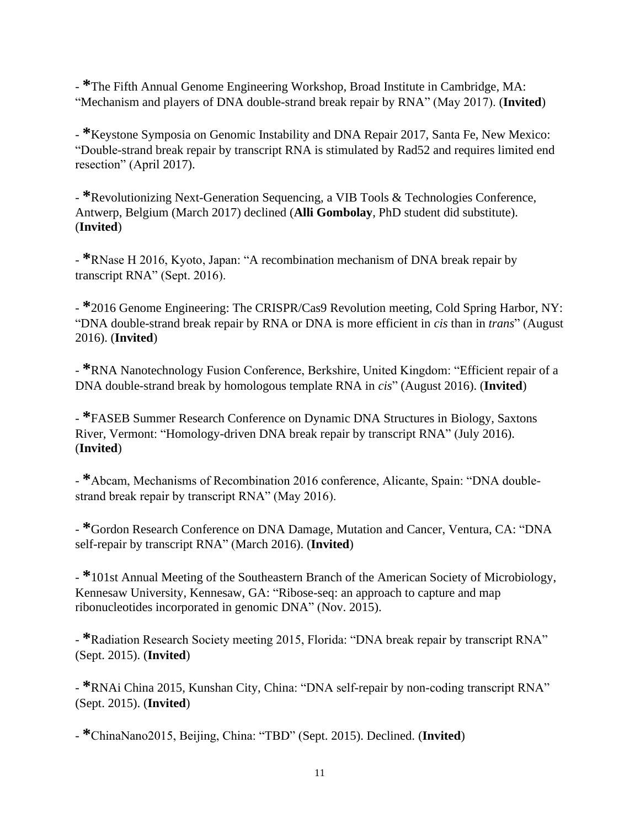- **\***The Fifth Annual Genome Engineering Workshop, Broad Institute in Cambridge, MA: "Mechanism and players of DNA double-strand break repair by RNA" (May 2017). (**Invited**)

- **\***Keystone Symposia on Genomic Instability and DNA Repair 2017, Santa Fe, New Mexico: "Double-strand break repair by transcript RNA is stimulated by Rad52 and requires limited end resection" (April 2017).

- **\***Revolutionizing Next-Generation Sequencing, a VIB Tools & Technologies Conference, Antwerp, Belgium (March 2017) declined (**Alli Gombolay**, PhD student did substitute). (**Invited**)

- **\***RNase H 2016, Kyoto, Japan: "A recombination mechanism of DNA break repair by transcript RNA" (Sept. 2016).

- **\***2016 Genome Engineering: The CRISPR/Cas9 Revolution meeting, Cold Spring Harbor, NY: "DNA double-strand break repair by RNA or DNA is more efficient in *cis* than in *trans*" (August 2016). (**Invited**)

- **\***RNA Nanotechnology Fusion Conference, Berkshire, United Kingdom: "Efficient repair of a DNA double-strand break by homologous template RNA in *cis*" (August 2016). (**Invited**)

- **\***FASEB Summer Research Conference on Dynamic DNA Structures in Biology, Saxtons River, Vermont: "Homology-driven DNA break repair by transcript RNA" (July 2016). (**Invited**)

- **\***Abcam, Mechanisms of Recombination 2016 conference, Alicante, Spain: "DNA doublestrand break repair by transcript RNA" (May 2016).

- **\***Gordon Research Conference on DNA Damage, Mutation and Cancer, Ventura, CA: "DNA self-repair by transcript RNA" (March 2016). (**Invited**)

- **\***101st Annual Meeting of the Southeastern Branch of the American Society of Microbiology, Kennesaw University, Kennesaw, GA: "Ribose-seq: an approach to capture and map ribonucleotides incorporated in genomic DNA" (Nov. 2015).

- **\***Radiation Research Society meeting 2015, Florida: "DNA break repair by transcript RNA" (Sept. 2015). (**Invited**)

- **\***RNAi China 2015, Kunshan City, China: "DNA self-repair by non-coding transcript RNA" (Sept. 2015). (**Invited**)

- **\***ChinaNano2015, Beijing, China: "TBD" (Sept. 2015). Declined. (**Invited**)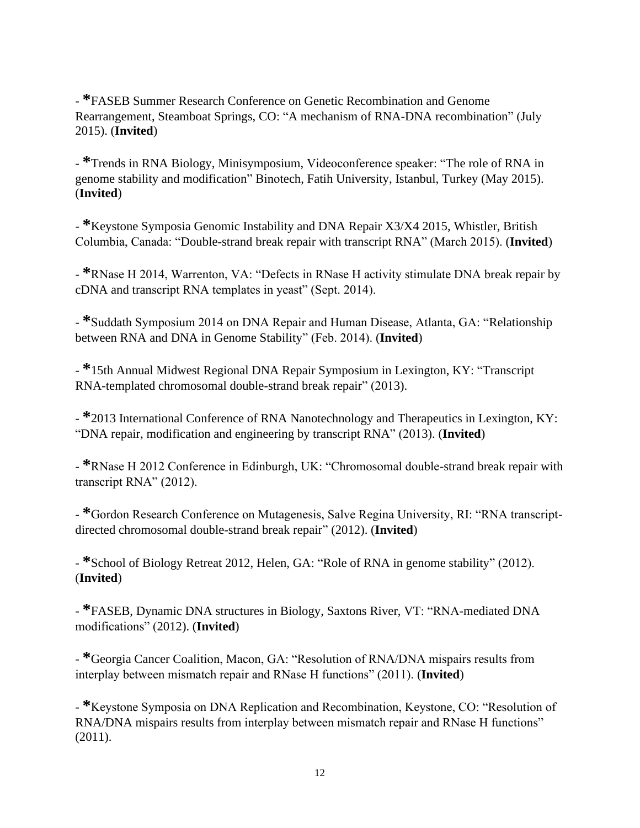- **\***FASEB Summer Research Conference on Genetic Recombination and Genome Rearrangement, Steamboat Springs, CO: "A mechanism of RNA-DNA recombination" (July 2015). (**Invited**)

- **\***Trends in RNA Biology, Minisymposium, Videoconference speaker: "The role of RNA in genome stability and modification" Binotech, Fatih University, Istanbul, Turkey (May 2015). (**Invited**)

- **\***Keystone Symposia Genomic Instability and DNA Repair X3/X4 2015, Whistler, British Columbia, Canada: "Double-strand break repair with transcript RNA" (March 2015). (**Invited**)

- **\***RNase H 2014, Warrenton, VA: "Defects in RNase H activity stimulate DNA break repair by cDNA and transcript RNA templates in yeast" (Sept. 2014).

- **\***Suddath Symposium 2014 on DNA Repair and Human Disease, Atlanta, GA: "Relationship between RNA and DNA in Genome Stability" (Feb. 2014). (**Invited**)

- **\***15th Annual Midwest Regional DNA Repair Symposium in Lexington, KY: "Transcript RNA-templated chromosomal double-strand break repair" (2013).

- **\***2013 International Conference of RNA Nanotechnology and Therapeutics in Lexington, KY: "DNA repair, modification and engineering by transcript RNA" (2013). (**Invited**)

- **\***RNase H 2012 Conference in Edinburgh, UK: "Chromosomal double-strand break repair with transcript RNA" (2012).

- **\***Gordon Research Conference on Mutagenesis, Salve Regina University, RI: "RNA transcriptdirected chromosomal double-strand break repair" (2012). (**Invited**)

- **\***School of Biology Retreat 2012, Helen, GA: "Role of RNA in genome stability" (2012). (**Invited**)

- **\***FASEB, Dynamic DNA structures in Biology, Saxtons River, VT: "RNA-mediated DNA modifications" (2012). (**Invited**)

- **\***Georgia Cancer Coalition, Macon, GA: "Resolution of RNA/DNA mispairs results from interplay between mismatch repair and RNase H functions" (2011). (**Invited**)

- **\***Keystone Symposia on DNA Replication and Recombination, Keystone, CO: "Resolution of RNA/DNA mispairs results from interplay between mismatch repair and RNase H functions" (2011).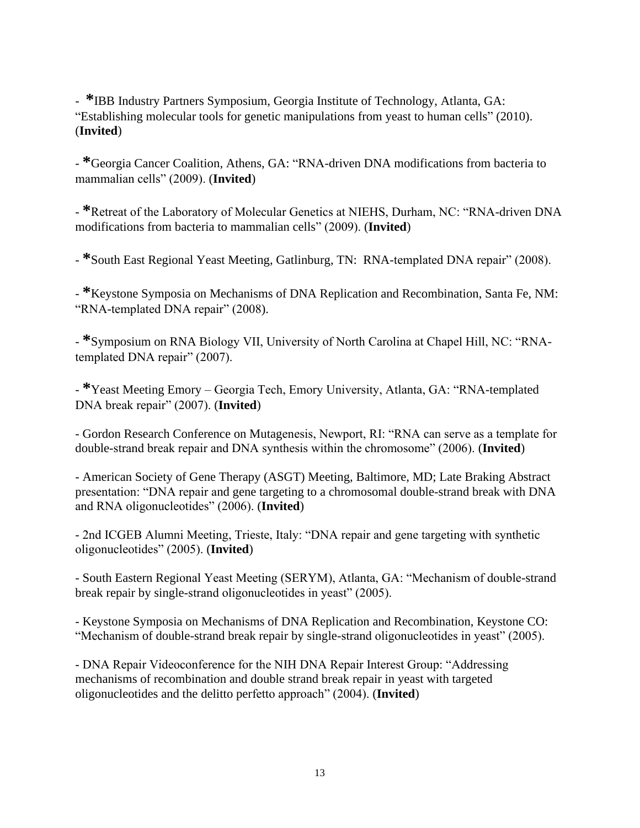- **\***IBB Industry Partners Symposium, Georgia Institute of Technology, Atlanta, GA: "Establishing molecular tools for genetic manipulations from yeast to human cells" (2010). (**Invited**)

- **\***Georgia Cancer Coalition, Athens, GA: "RNA-driven DNA modifications from bacteria to mammalian cells" (2009). (**Invited**)

- **\***Retreat of the Laboratory of Molecular Genetics at NIEHS, Durham, NC: "RNA-driven DNA modifications from bacteria to mammalian cells" (2009). (**Invited**)

- **\***South East Regional Yeast Meeting, Gatlinburg, TN: RNA-templated DNA repair" (2008).

- **\***Keystone Symposia on Mechanisms of DNA Replication and Recombination, Santa Fe, NM: "RNA-templated DNA repair" (2008).

- **\***Symposium on RNA Biology VII, University of North Carolina at Chapel Hill, NC: "RNAtemplated DNA repair" (2007).

- **\***Yeast Meeting Emory – Georgia Tech, Emory University, Atlanta, GA: "RNA-templated DNA break repair" (2007). (**Invited**)

- Gordon Research Conference on Mutagenesis, Newport, RI: "RNA can serve as a template for double-strand break repair and DNA synthesis within the chromosome" (2006). (**Invited**)

- American Society of Gene Therapy (ASGT) Meeting, Baltimore, MD; Late Braking Abstract presentation: "DNA repair and gene targeting to a chromosomal double-strand break with DNA and RNA oligonucleotides" (2006). (**Invited**)

- 2nd ICGEB Alumni Meeting, Trieste, Italy: "DNA repair and gene targeting with synthetic oligonucleotides" (2005). (**Invited**)

- South Eastern Regional Yeast Meeting (SERYM), Atlanta, GA: "Mechanism of double-strand break repair by single-strand oligonucleotides in yeast" (2005).

- Keystone Symposia on Mechanisms of DNA Replication and Recombination, Keystone CO: "Mechanism of double-strand break repair by single-strand oligonucleotides in yeast" (2005).

- DNA Repair Videoconference for the NIH DNA Repair Interest Group: "Addressing mechanisms of recombination and double strand break repair in yeast with targeted oligonucleotides and the delitto perfetto approach" (2004). (**Invited**)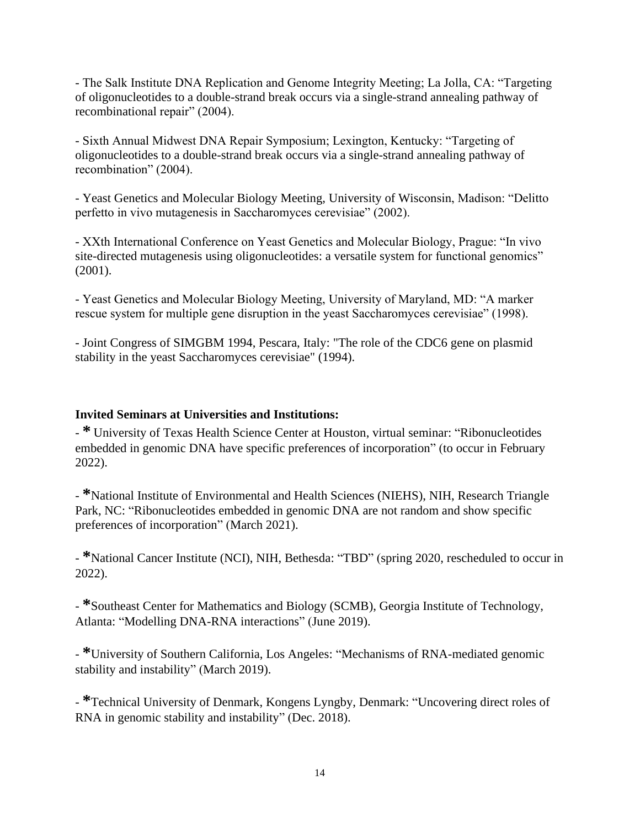- The Salk Institute DNA Replication and Genome Integrity Meeting; La Jolla, CA: "Targeting of oligonucleotides to a double-strand break occurs via a single-strand annealing pathway of recombinational repair" (2004).

- Sixth Annual Midwest DNA Repair Symposium; Lexington, Kentucky: "Targeting of oligonucleotides to a double-strand break occurs via a single-strand annealing pathway of recombination" (2004).

- Yeast Genetics and Molecular Biology Meeting, University of Wisconsin, Madison: "Delitto perfetto in vivo mutagenesis in Saccharomyces cerevisiae" (2002).

- XXth International Conference on Yeast Genetics and Molecular Biology, Prague: "In vivo site-directed mutagenesis using oligonucleotides: a versatile system for functional genomics" (2001).

- Yeast Genetics and Molecular Biology Meeting, University of Maryland, MD: "A marker rescue system for multiple gene disruption in the yeast Saccharomyces cerevisiae" (1998).

- Joint Congress of SIMGBM 1994, Pescara, Italy: "The role of the CDC6 gene on plasmid stability in the yeast Saccharomyces cerevisiae" (1994).

### **Invited Seminars at Universities and Institutions:**

- **\*** University of Texas Health Science Center at Houston, virtual seminar: "Ribonucleotides embedded in genomic DNA have specific preferences of incorporation" (to occur in February 2022).

- **\***National Institute of Environmental and Health Sciences (NIEHS), NIH, Research Triangle Park, NC: "Ribonucleotides embedded in genomic DNA are not random and show specific preferences of incorporation" (March 2021).

- **\***National Cancer Institute (NCI), NIH, Bethesda: "TBD" (spring 2020, rescheduled to occur in 2022).

- **\***Southeast Center for Mathematics and Biology (SCMB), Georgia Institute of Technology, Atlanta: "Modelling DNA-RNA interactions" (June 2019).

- **\***University of Southern California, Los Angeles: "Mechanisms of RNA-mediated genomic stability and instability" (March 2019).

- **\***Technical University of Denmark, Kongens Lyngby, Denmark: "Uncovering direct roles of RNA in genomic stability and instability" (Dec. 2018).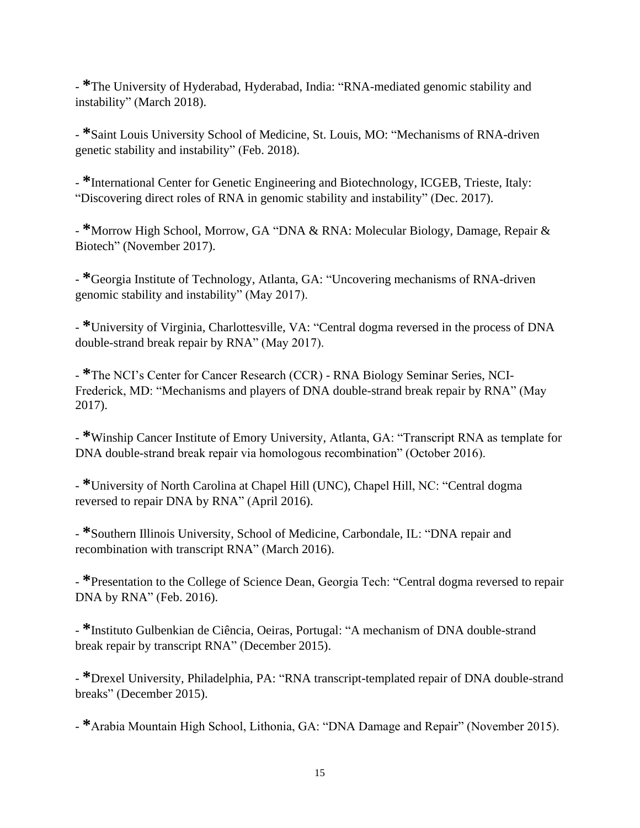- **\***The University of Hyderabad, Hyderabad, India: "RNA-mediated genomic stability and instability" (March 2018).

- **\***Saint Louis University School of Medicine, St. Louis, MO: "Mechanisms of RNA-driven genetic stability and instability" (Feb. 2018).

- **\***International Center for Genetic Engineering and Biotechnology, ICGEB, Trieste, Italy: "Discovering direct roles of RNA in genomic stability and instability" (Dec. 2017).

- **\***Morrow High School, Morrow, GA "DNA & RNA: Molecular Biology, Damage, Repair & Biotech" (November 2017).

- **\***Georgia Institute of Technology, Atlanta, GA: "Uncovering mechanisms of RNA-driven genomic stability and instability" (May 2017).

- **\***University of Virginia, Charlottesville, VA: "Central dogma reversed in the process of DNA double-strand break repair by RNA" (May 2017).

- **\***The NCI's Center for Cancer Research (CCR) - RNA Biology Seminar Series, NCI-Frederick, MD: "Mechanisms and players of DNA double-strand break repair by RNA" (May 2017).

- **\***Winship Cancer Institute of Emory University, Atlanta, GA: "Transcript RNA as template for DNA double-strand break repair via homologous recombination" (October 2016).

- **\***University of North Carolina at Chapel Hill (UNC), Chapel Hill, NC: "Central dogma reversed to repair DNA by RNA" (April 2016).

- **\***Southern Illinois University, School of Medicine, Carbondale, IL: "DNA repair and recombination with transcript RNA" (March 2016).

- **\***Presentation to the College of Science Dean, Georgia Tech: "Central dogma reversed to repair DNA by RNA" (Feb. 2016).

- **\***Instituto Gulbenkian de Ciência, Oeiras, Portugal: "A mechanism of DNA double-strand break repair by transcript RNA" (December 2015).

- **\***Drexel University, Philadelphia, PA: "RNA transcript-templated repair of DNA double-strand breaks" (December 2015).

- **\***Arabia Mountain High School, Lithonia, GA: "DNA Damage and Repair" (November 2015).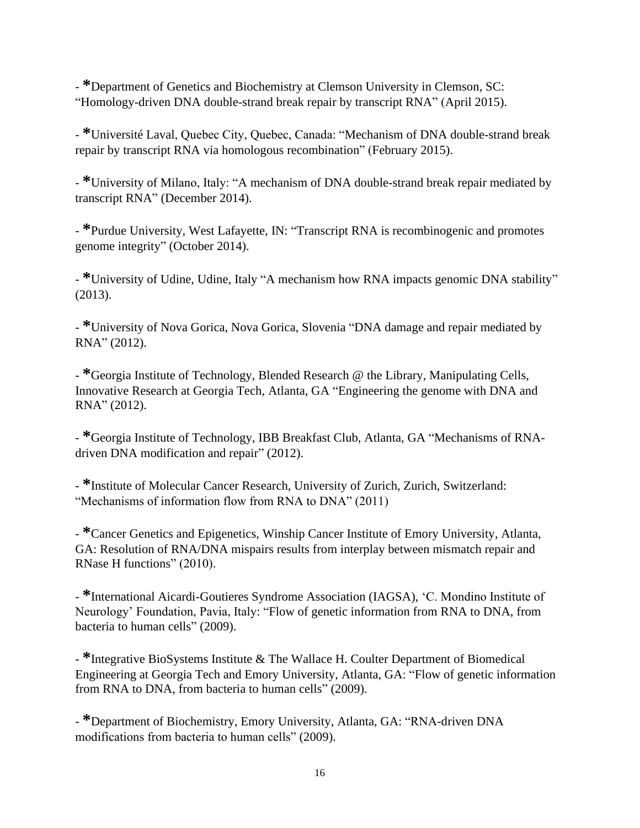- **\***Department of Genetics and Biochemistry at Clemson University in Clemson, SC: "Homology-driven DNA double-strand break repair by transcript RNA" (April 2015).

- **\***Université Laval, Quebec City, Quebec, Canada: "Mechanism of DNA double-strand break repair by transcript RNA via homologous recombination" (February 2015).

- **\***University of Milano, Italy: "A mechanism of DNA double-strand break repair mediated by transcript RNA" (December 2014).

- **\***Purdue University, West Lafayette, IN: "Transcript RNA is recombinogenic and promotes genome integrity" (October 2014).

- **\***University of Udine, Udine, Italy "A mechanism how RNA impacts genomic DNA stability" (2013).

- **\***University of Nova Gorica, Nova Gorica, Slovenia "DNA damage and repair mediated by RNA" (2012).

- **\***Georgia Institute of Technology, Blended Research @ the Library, Manipulating Cells, Innovative Research at Georgia Tech, Atlanta, GA "Engineering the genome with DNA and RNA" (2012).

- **\***Georgia Institute of Technology, IBB Breakfast Club, Atlanta, GA "Mechanisms of RNAdriven DNA modification and repair" (2012).

- **\***Institute of Molecular Cancer Research, University of Zurich, Zurich, Switzerland: "Mechanisms of information flow from RNA to DNA" (2011)

- **\***Cancer Genetics and Epigenetics, Winship Cancer Institute of Emory University, Atlanta, GA: Resolution of RNA/DNA mispairs results from interplay between mismatch repair and RNase H functions" (2010).

- **\***International Aicardi-Goutieres Syndrome Association (IAGSA), 'C. Mondino Institute of Neurology' Foundation, Pavia, Italy: "Flow of genetic information from RNA to DNA, from bacteria to human cells" (2009).

- **\***Integrative BioSystems Institute & The Wallace H. Coulter Department of Biomedical Engineering at Georgia Tech and Emory University, Atlanta, GA: "Flow of genetic information from RNA to DNA, from bacteria to human cells" (2009).

- **\***Department of Biochemistry, Emory University, Atlanta, GA: "RNA-driven DNA modifications from bacteria to human cells" (2009).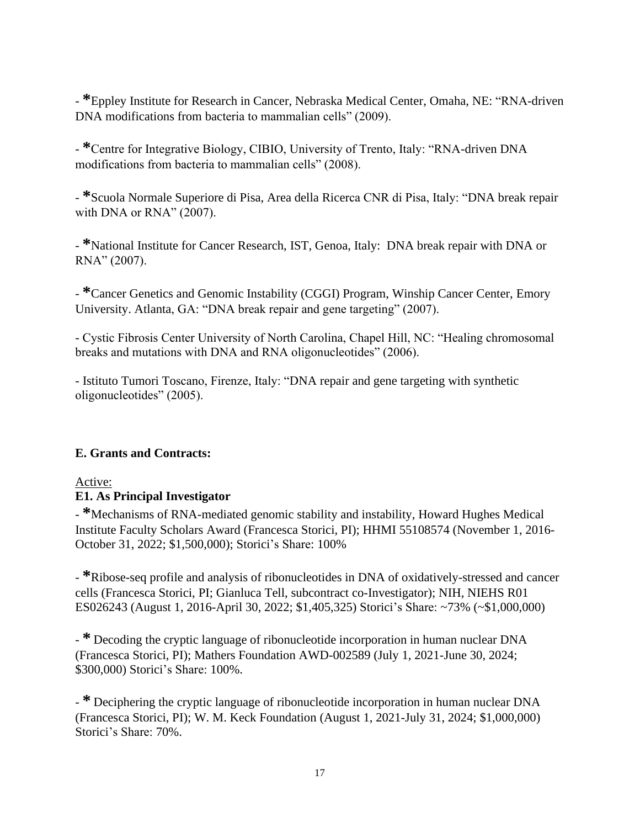- **\***Eppley Institute for Research in Cancer, Nebraska Medical Center, Omaha, NE: "RNA-driven DNA modifications from bacteria to mammalian cells" (2009).

- **\***Centre for Integrative Biology, CIBIO, University of Trento, Italy: "RNA-driven DNA modifications from bacteria to mammalian cells" (2008).

- **\***Scuola Normale Superiore di Pisa, Area della Ricerca CNR di Pisa, Italy: "DNA break repair with DNA or RNA" (2007).

- **\***National Institute for Cancer Research, IST, Genoa, Italy: DNA break repair with DNA or RNA" (2007).

- **\***Cancer Genetics and Genomic Instability (CGGI) Program, Winship Cancer Center, Emory University. Atlanta, GA: "DNA break repair and gene targeting" (2007).

- Cystic Fibrosis Center University of North Carolina, Chapel Hill, NC: "Healing chromosomal breaks and mutations with DNA and RNA oligonucleotides" (2006).

- Istituto Tumori Toscano, Firenze, Italy: "DNA repair and gene targeting with synthetic oligonucleotides" (2005).

## **E. Grants and Contracts:**

# Active:

## **E1. As Principal Investigator**

- **\***Mechanisms of RNA-mediated genomic stability and instability, Howard Hughes Medical Institute Faculty Scholars Award (Francesca Storici, PI); HHMI 55108574 (November 1, 2016- October 31, 2022; \$1,500,000); Storici's Share: 100%

- **\***Ribose-seq profile and analysis of ribonucleotides in DNA of oxidatively-stressed and cancer cells (Francesca Storici, PI; Gianluca Tell, subcontract co-Investigator); NIH, NIEHS R01 ES026243 (August 1, 2016-April 30, 2022; \$1,405,325) Storici's Share: ~73% (~\$1,000,000)

- **\*** Decoding the cryptic language of ribonucleotide incorporation in human nuclear DNA (Francesca Storici, PI); Mathers Foundation AWD-002589 (July 1, 2021-June 30, 2024; \$300,000) Storici's Share: 100%.

- **\*** Deciphering the cryptic language of ribonucleotide incorporation in human nuclear DNA (Francesca Storici, PI); W. M. Keck Foundation (August 1, 2021-July 31, 2024; \$1,000,000) Storici's Share: 70%.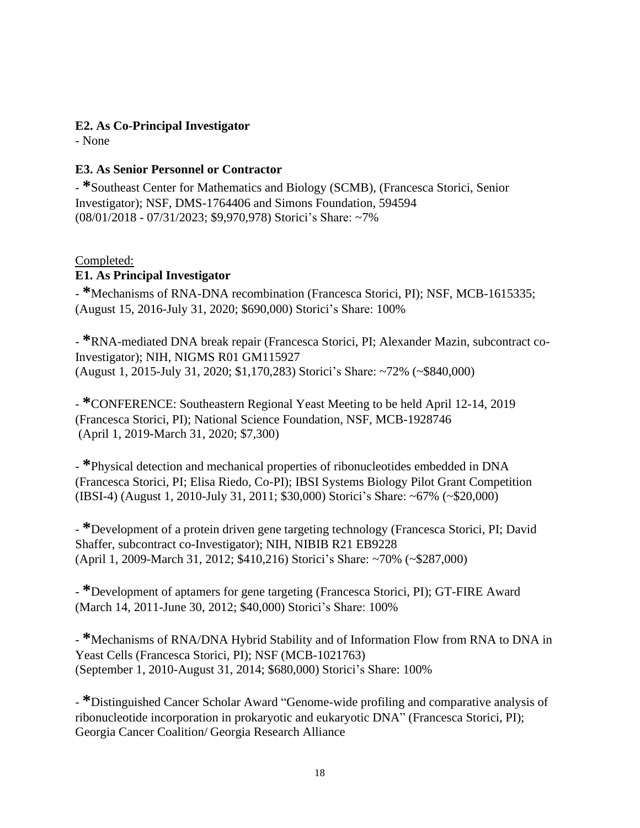# **E2. As Co-Principal Investigator**

- None

# **E3. As Senior Personnel or Contractor**

- **\***Southeast Center for Mathematics and Biology (SCMB), (Francesca Storici, Senior Investigator); NSF, DMS-1764406 and Simons Foundation, 594594 (08/01/2018 - 07/31/2023; \$9,970,978) Storici's Share: ~7%

## Completed:

# **E1. As Principal Investigator**

- **\***Mechanisms of RNA-DNA recombination (Francesca Storici, PI); NSF, MCB-1615335; (August 15, 2016-July 31, 2020; \$690,000) Storici's Share: 100%

- **\***RNA-mediated DNA break repair (Francesca Storici, PI; Alexander Mazin, subcontract co-Investigator); NIH, NIGMS R01 GM115927 (August 1, 2015-July 31, 2020; \$1,170,283) Storici's Share: ~72% (~\$840,000)

- **\***CONFERENCE: Southeastern Regional Yeast Meeting to be held April 12-14, 2019 (Francesca Storici, PI); National Science Foundation, NSF, MCB-1928746 (April 1, 2019-March 31, 2020; \$7,300)

- **\***Physical detection and mechanical properties of ribonucleotides embedded in DNA (Francesca Storici, PI; Elisa Riedo, Co-PI); IBSI Systems Biology Pilot Grant Competition (IBSI-4) (August 1, 2010-July 31, 2011; \$30,000) Storici's Share: ~67% (~\$20,000)

- **\***Development of a protein driven gene targeting technology (Francesca Storici, PI; David Shaffer, subcontract co-Investigator); NIH, NIBIB R21 EB9228 (April 1, 2009-March 31, 2012; \$410,216) Storici's Share: ~70% (~\$287,000)

- **\***Development of aptamers for gene targeting (Francesca Storici, PI); GT-FIRE Award (March 14, 2011-June 30, 2012; \$40,000) Storici's Share: 100%

- **\***Mechanisms of RNA/DNA Hybrid Stability and of Information Flow from RNA to DNA in Yeast Cells (Francesca Storici, PI); NSF (MCB-1021763) (September 1, 2010-August 31, 2014; \$680,000) Storici's Share: 100%

- **\***Distinguished Cancer Scholar Award "Genome-wide profiling and comparative analysis of ribonucleotide incorporation in prokaryotic and eukaryotic DNA" (Francesca Storici, PI); Georgia Cancer Coalition/ Georgia Research Alliance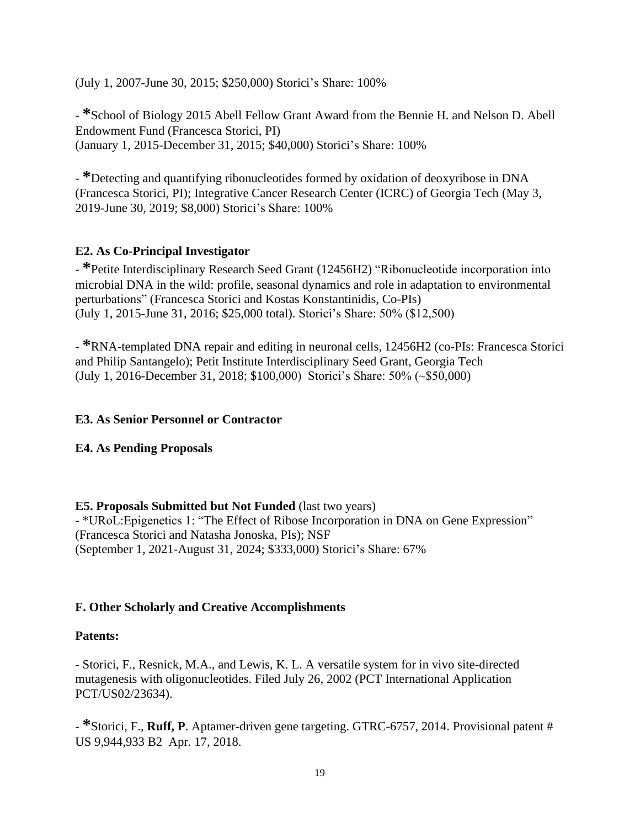(July 1, 2007-June 30, 2015; \$250,000) Storici's Share: 100%

- **\***School of Biology 2015 Abell Fellow Grant Award from the Bennie H. and Nelson D. Abell Endowment Fund (Francesca Storici, PI) (January 1, 2015-December 31, 2015; \$40,000) Storici's Share: 100%

- **\***Detecting and quantifying ribonucleotides formed by oxidation of deoxyribose in DNA (Francesca Storici, PI); Integrative Cancer Research Center (ICRC) of Georgia Tech (May 3, 2019-June 30, 2019; \$8,000) Storici's Share: 100%

## **E2. As Co-Principal Investigator**

- **\***Petite Interdisciplinary Research Seed Grant (12456H2) "Ribonucleotide incorporation into microbial DNA in the wild: profile, seasonal dynamics and role in adaptation to environmental perturbations" (Francesca Storici and Kostas Konstantinidis, Co-PIs) (July 1, 2015-June 31, 2016; \$25,000 total). Storici's Share: 50% (\$12,500)

- **\***RNA-templated DNA repair and editing in neuronal cells, 12456H2 (co-PIs: Francesca Storici and Philip Santangelo); Petit Institute Interdisciplinary Seed Grant, Georgia Tech (July 1, 2016-December 31, 2018; \$100,000) Storici's Share: 50% (~\$50,000)

## **E3. As Senior Personnel or Contractor**

## **E4. As Pending Proposals**

### **E5. Proposals Submitted but Not Funded** (last two years)

- \*URoL:Epigenetics 1: "The Effect of Ribose Incorporation in DNA on Gene Expression" (Francesca Storici and Natasha Jonoska, PIs); NSF (September 1, 2021-August 31, 2024; \$333,000) Storici's Share: 67%

## **F. Other Scholarly and Creative Accomplishments**

### **Patents:**

- Storici, F., Resnick, M.A., and Lewis, K. L. A versatile system for in vivo site-directed mutagenesis with oligonucleotides. Filed July 26, 2002 (PCT International Application PCT/US02/23634).

- **\***Storici, F., **Ruff, P**. Aptamer-driven gene targeting. GTRC-6757, 2014. Provisional patent # US 9,944,933 B2 Apr. 17, 2018.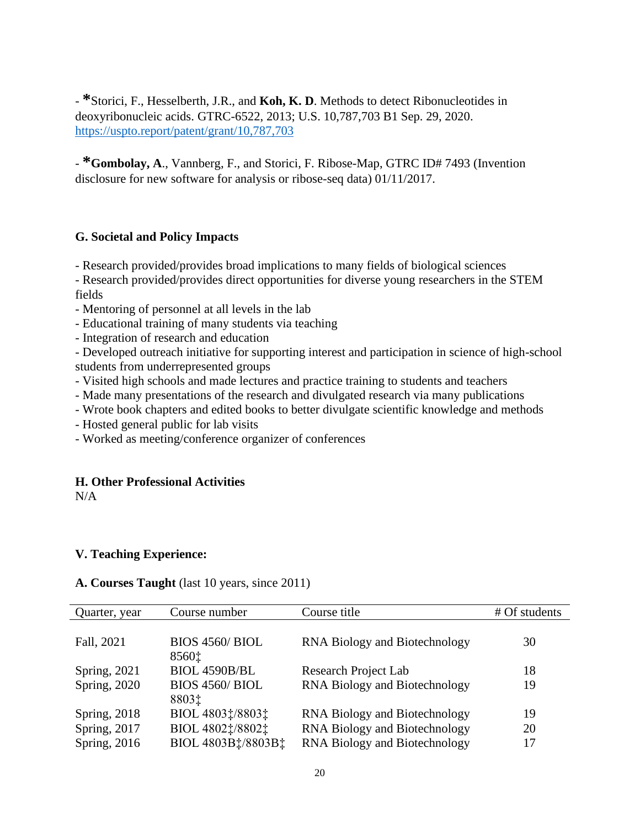- **\***Storici, F., Hesselberth, J.R., and **Koh, K. D**. Methods to detect Ribonucleotides in deoxyribonucleic acids. GTRC-6522, 2013; U.S. 10,787,703 B1 Sep. 29, 2020. <https://uspto.report/patent/grant/10,787,703>

- **\*Gombolay, A**., Vannberg, F., and Storici, F. Ribose-Map, GTRC ID# 7493 (Invention disclosure for new software for analysis or ribose-seq data) 01/11/2017.

### **G. Societal and Policy Impacts**

- Research provided/provides broad implications to many fields of biological sciences

- Research provided/provides direct opportunities for diverse young researchers in the STEM fields
- Mentoring of personnel at all levels in the lab
- Educational training of many students via teaching
- Integration of research and education

- Developed outreach initiative for supporting interest and participation in science of high-school students from underrepresented groups

- Visited high schools and made lectures and practice training to students and teachers
- Made many presentations of the research and divulgated research via many publications
- Wrote book chapters and edited books to better divulgate scientific knowledge and methods
- Hosted general public for lab visits
- Worked as meeting/conference organizer of conferences

### **H. Other Professional Activities**

N/A

### **V. Teaching Experience:**

#### **A. Courses Taught** (last 10 years, since 2011)

| Course number                         | Course title                  | # Of students |
|---------------------------------------|-------------------------------|---------------|
|                                       |                               |               |
| <b>BIOS 4560/ BIOL</b>                | RNA Biology and Biotechnology | 30            |
| 8560‡                                 |                               |               |
| BIOL 4590B/BL                         | Research Project Lab          | 18            |
| <b>BIOS 4560/ BIOL</b>                | RNA Biology and Biotechnology | 19            |
| 8803‡                                 |                               |               |
| BIOL 48031/88031                      | RNA Biology and Biotechnology | 19            |
| BIOL 4802 $\ddagger$ /8802 $\ddagger$ | RNA Biology and Biotechnology | 20            |
| BIOL 4803B‡/8803B‡                    | RNA Biology and Biotechnology | 17            |
|                                       |                               |               |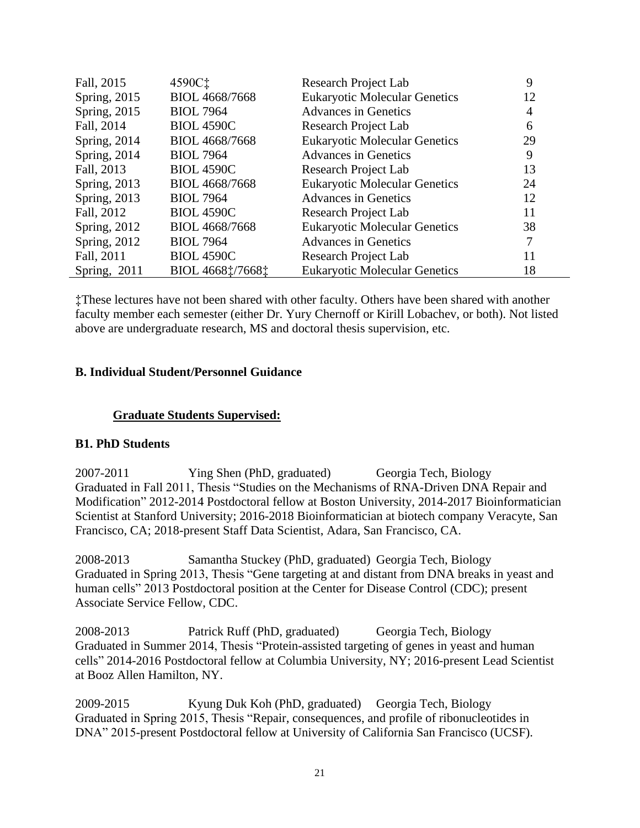| Fall, 2015   | 4590C‡            | Research Project Lab                 | 9  |
|--------------|-------------------|--------------------------------------|----|
| Spring, 2015 | BIOL 4668/7668    | <b>Eukaryotic Molecular Genetics</b> | 12 |
| Spring, 2015 | <b>BIOL 7964</b>  | <b>Advances in Genetics</b>          | 4  |
| Fall, 2014   | <b>BIOL 4590C</b> | Research Project Lab                 | 6  |
| Spring, 2014 | BIOL 4668/7668    | <b>Eukaryotic Molecular Genetics</b> | 29 |
| Spring, 2014 | <b>BIOL 7964</b>  | <b>Advances in Genetics</b>          | 9  |
| Fall, 2013   | <b>BIOL 4590C</b> | Research Project Lab                 | 13 |
| Spring, 2013 | BIOL 4668/7668    | <b>Eukaryotic Molecular Genetics</b> | 24 |
| Spring, 2013 | <b>BIOL 7964</b>  | <b>Advances in Genetics</b>          | 12 |
| Fall, 2012   | <b>BIOL 4590C</b> | Research Project Lab                 | 11 |
| Spring, 2012 | BIOL 4668/7668    | <b>Eukaryotic Molecular Genetics</b> | 38 |
| Spring, 2012 | <b>BIOL 7964</b>  | <b>Advances in Genetics</b>          | 7  |
| Fall, 2011   | <b>BIOL 4590C</b> | Research Project Lab                 | 11 |
| Spring, 2011 | BIOL 46681/76681  | <b>Eukaryotic Molecular Genetics</b> | 18 |

‡These lectures have not been shared with other faculty. Others have been shared with another faculty member each semester (either Dr. Yury Chernoff or Kirill Lobachev, or both). Not listed above are undergraduate research, MS and doctoral thesis supervision, etc.

### **B. Individual Student/Personnel Guidance**

### **Graduate Students Supervised:**

### **B1. PhD Students**

2007-2011 Ying Shen (PhD, graduated) Georgia Tech, Biology Graduated in Fall 2011, Thesis "Studies on the Mechanisms of RNA-Driven DNA Repair and Modification" 2012-2014 Postdoctoral fellow at Boston University, 2014-2017 Bioinformatician Scientist at Stanford University; 2016-2018 Bioinformatician at biotech company Veracyte, San Francisco, CA; 2018-present Staff Data Scientist, Adara, San Francisco, CA.

2008-2013 Samantha Stuckey (PhD, graduated) Georgia Tech, Biology Graduated in Spring 2013, Thesis "Gene targeting at and distant from DNA breaks in yeast and human cells" 2013 Postdoctoral position at the Center for Disease Control (CDC); present Associate Service Fellow, CDC.

2008-2013 Patrick Ruff (PhD, graduated) Georgia Tech, Biology Graduated in Summer 2014, Thesis "Protein-assisted targeting of genes in yeast and human cells" 2014-2016 Postdoctoral fellow at Columbia University, NY; 2016-present Lead Scientist at Booz Allen Hamilton, NY.

2009-2015 Kyung Duk Koh (PhD, graduated) Georgia Tech, Biology Graduated in Spring 2015, Thesis "Repair, consequences, and profile of ribonucleotides in DNA" 2015-present Postdoctoral fellow at University of California San Francisco (UCSF).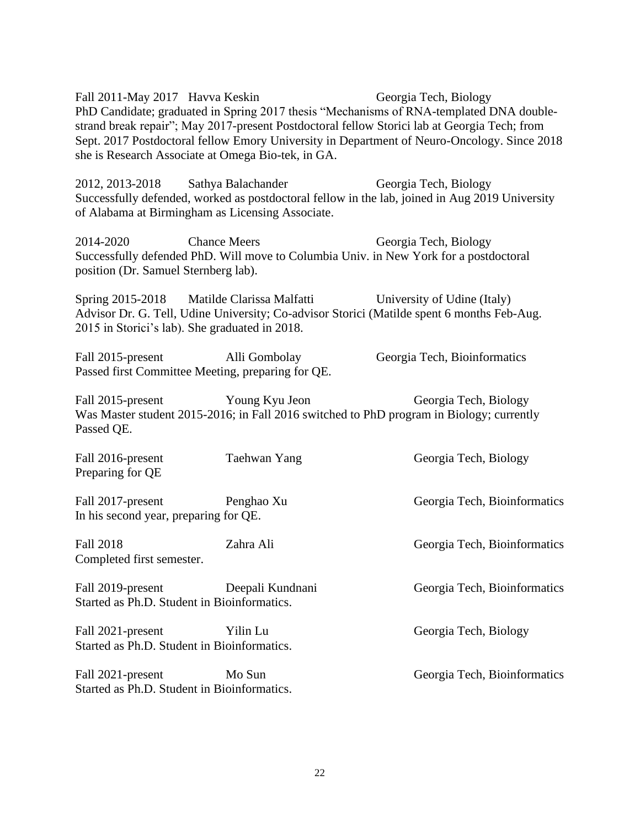Fall 2011-May 2017 Havva Keskin Georgia Tech, Biology PhD Candidate; graduated in Spring 2017 thesis "Mechanisms of RNA-templated DNA doublestrand break repair"; May 2017-present Postdoctoral fellow Storici lab at Georgia Tech; from Sept. 2017 Postdoctoral fellow Emory University in Department of Neuro-Oncology. Since 2018 she is Research Associate at Omega Bio-tek, in GA.

2012, 2013-2018 Sathya Balachander Georgia Tech, Biology Successfully defended, worked as postdoctoral fellow in the lab, joined in Aug 2019 University of Alabama at Birmingham as Licensing Associate.

2014-2020 Chance Meers Georgia Tech, Biology Successfully defended PhD. Will move to Columbia Univ. in New York for a postdoctoral position (Dr. Samuel Sternberg lab).

Spring 2015-2018 Matilde Clarissa Malfatti University of Udine (Italy) Advisor Dr. G. Tell, Udine University; Co-advisor Storici (Matilde spent 6 months Feb-Aug. 2015 in Storici's lab). She graduated in 2018.

Fall 2015-present Alli Gombolay Georgia Tech, Bioinformatics Passed first Committee Meeting, preparing for QE.

Fall 2015-present Young Kyu Jeon Georgia Tech, Biology Was Master student 2015-2016; in Fall 2016 switched to PhD program in Biology; currently Passed QE.

| Fall 2016-present<br>Preparing for QE                            | Taehwan Yang     | Georgia Tech, Biology        |
|------------------------------------------------------------------|------------------|------------------------------|
| Fall 2017-present<br>In his second year, preparing for QE.       | Penghao Xu       | Georgia Tech, Bioinformatics |
| Fall 2018<br>Completed first semester.                           | Zahra Ali        | Georgia Tech, Bioinformatics |
| Fall 2019-present<br>Started as Ph.D. Student in Bioinformatics. | Deepali Kundnani | Georgia Tech, Bioinformatics |
| Fall 2021-present<br>Started as Ph.D. Student in Bioinformatics. | Yilin Lu         | Georgia Tech, Biology        |
| Fall 2021-present<br>Started as Ph.D. Student in Bioinformatics. | Mo Sun           | Georgia Tech, Bioinformatics |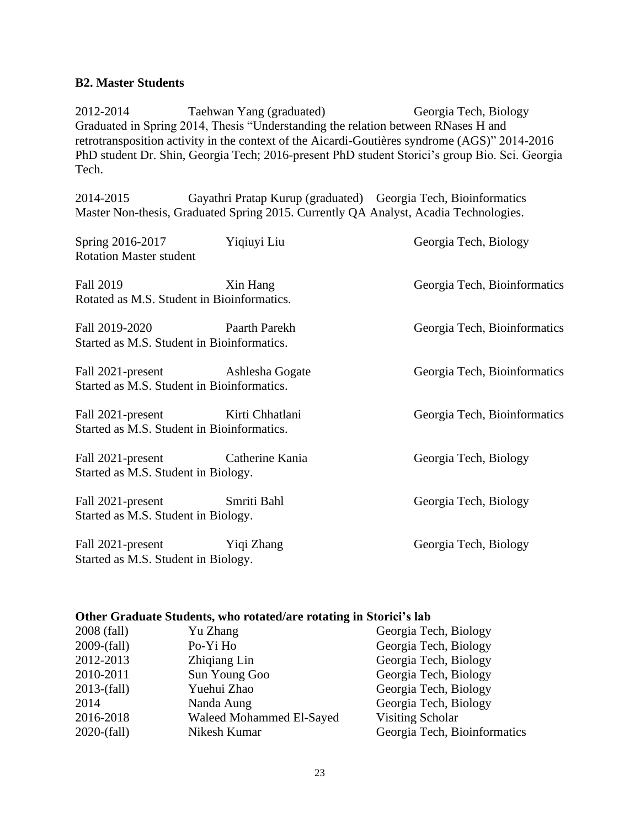#### **B2. Master Students**

2012-2014 Taehwan Yang (graduated) Georgia Tech, Biology Graduated in Spring 2014, Thesis "Understanding the relation between RNases H and retrotransposition activity in the context of the Aicardi-Goutières syndrome (AGS)" 2014-2016 PhD student Dr. Shin, Georgia Tech; 2016-present PhD student Storici's group Bio. Sci. Georgia Tech.

2014-2015 Gayathri Pratap Kurup (graduated) Georgia Tech, Bioinformatics Master Non-thesis, Graduated Spring 2015. Currently QA Analyst, Acadia Technologies.

| Spring 2016-2017<br><b>Rotation Master student</b>              | Yiqiuyi Liu     | Georgia Tech, Biology        |
|-----------------------------------------------------------------|-----------------|------------------------------|
| Fall 2019<br>Rotated as M.S. Student in Bioinformatics.         | Xin Hang        | Georgia Tech, Bioinformatics |
| Fall 2019-2020<br>Started as M.S. Student in Bioinformatics.    | Paarth Parekh   | Georgia Tech, Bioinformatics |
| Fall 2021-present<br>Started as M.S. Student in Bioinformatics. | Ashlesha Gogate | Georgia Tech, Bioinformatics |
| Fall 2021-present<br>Started as M.S. Student in Bioinformatics. | Kirti Chhatlani | Georgia Tech, Bioinformatics |
| Fall 2021-present<br>Started as M.S. Student in Biology.        | Catherine Kania | Georgia Tech, Biology        |
| Fall 2021-present<br>Started as M.S. Student in Biology.        | Smriti Bahl     | Georgia Tech, Biology        |
| Fall 2021-present<br>Started as M.S. Student in Biology.        | Yiqi Zhang      | Georgia Tech, Biology        |

#### **Other Graduate Students, who rotated/are rotating in Storici's lab**

| 2008 (fall)      | Yu Zhang                 | Georgia Tech, Biology        |
|------------------|--------------------------|------------------------------|
| $2009-(fall)$    | Po-Yi Ho                 | Georgia Tech, Biology        |
| 2012-2013        | Zhiqiang Lin             | Georgia Tech, Biology        |
| 2010-2011        | Sun Young Goo            | Georgia Tech, Biology        |
| $2013-(fall)$    | Yuehui Zhao              | Georgia Tech, Biology        |
| 2014             | Nanda Aung               | Georgia Tech, Biology        |
| 2016-2018        | Waleed Mohammed El-Sayed | Visiting Scholar             |
| $2020$ - $fall)$ | Nikesh Kumar             | Georgia Tech, Bioinformatics |
|                  |                          |                              |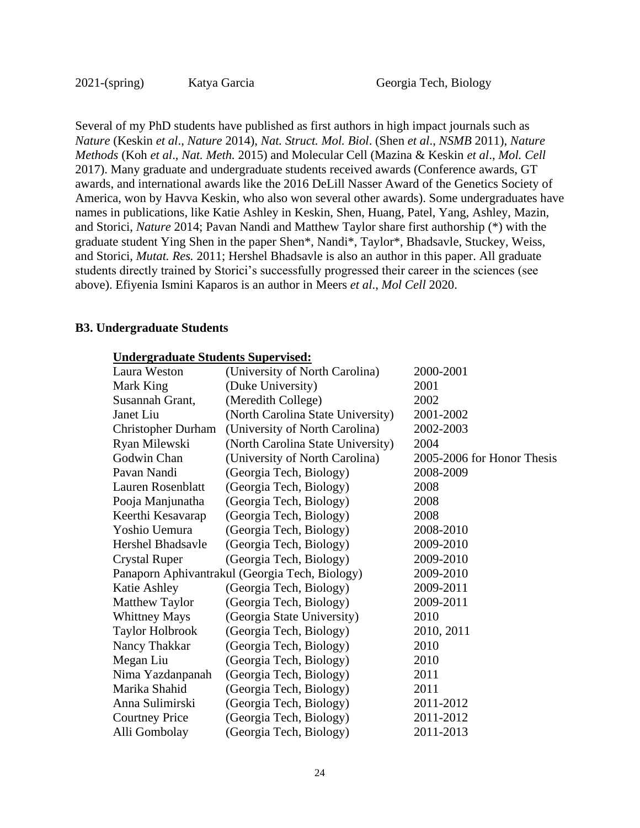Several of my PhD students have published as first authors in high impact journals such as *Nature* (Keskin *et al*., *Nature* 2014), *Nat. Struct. Mol. Biol*. (Shen *et al*., *NSMB* 2011), *Nature Methods* (Koh *et al*., *Nat. Meth.* 2015) and Molecular Cell (Mazina & Keskin *et al*., *Mol. Cell* 2017). Many graduate and undergraduate students received awards (Conference awards, GT awards, and international awards like the 2016 DeLill Nasser Award of the Genetics Society of America, won by Havva Keskin, who also won several other awards). Some undergraduates have names in publications, like Katie Ashley in Keskin, Shen, Huang, Patel, Yang, Ashley, Mazin, and Storici, *Nature* 2014; Pavan Nandi and Matthew Taylor share first authorship (\*) with the graduate student Ying Shen in the paper Shen\*, Nandi\*, Taylor\*, Bhadsavle, Stuckey, Weiss, and Storici, *Mutat. Res.* 2011; Hershel Bhadsavle is also an author in this paper. All graduate students directly trained by Storici's successfully progressed their career in the sciences (see above). Efiyenia Ismini Kaparos is an author in Meers *et al*., *Mol Cell* 2020.

#### **B3. Undergraduate Students**

| <b>Undergraduate Students Supervised:</b> |                                                |                            |
|-------------------------------------------|------------------------------------------------|----------------------------|
| Laura Weston                              | (University of North Carolina)                 | 2000-2001                  |
| Mark King                                 | (Duke University)                              | 2001                       |
| Susannah Grant,                           | (Meredith College)                             | 2002                       |
| Janet Liu                                 | (North Carolina State University)              | 2001-2002                  |
| <b>Christopher Durham</b>                 | (University of North Carolina)                 | 2002-2003                  |
| Ryan Milewski                             | (North Carolina State University)              | 2004                       |
| Godwin Chan                               | (University of North Carolina)                 | 2005-2006 for Honor Thesis |
| Pavan Nandi                               | (Georgia Tech, Biology)                        | 2008-2009                  |
| Lauren Rosenblatt                         | (Georgia Tech, Biology)                        | 2008                       |
| Pooja Manjunatha                          | (Georgia Tech, Biology)                        | 2008                       |
| Keerthi Kesavarap                         | (Georgia Tech, Biology)                        | 2008                       |
| Yoshio Uemura                             | (Georgia Tech, Biology)                        | 2008-2010                  |
| Hershel Bhadsavle                         | (Georgia Tech, Biology)                        | 2009-2010                  |
| <b>Crystal Ruper</b>                      | (Georgia Tech, Biology)                        | 2009-2010                  |
|                                           | Panaporn Aphivantrakul (Georgia Tech, Biology) | 2009-2010                  |
| Katie Ashley                              | (Georgia Tech, Biology)                        | 2009-2011                  |
| Matthew Taylor                            | (Georgia Tech, Biology)                        | 2009-2011                  |
| <b>Whittney Mays</b>                      | (Georgia State University)                     | 2010                       |
| <b>Taylor Holbrook</b>                    | (Georgia Tech, Biology)                        | 2010, 2011                 |
| Nancy Thakkar                             | (Georgia Tech, Biology)                        | 2010                       |
| Megan Liu                                 | (Georgia Tech, Biology)                        | 2010                       |
| Nima Yazdanpanah                          | (Georgia Tech, Biology)                        | 2011                       |
| Marika Shahid                             | (Georgia Tech, Biology)                        | 2011                       |
| Anna Sulimirski                           | (Georgia Tech, Biology)                        | 2011-2012                  |
| <b>Courtney Price</b>                     | (Georgia Tech, Biology)                        | 2011-2012                  |
| Alli Gombolay                             | (Georgia Tech, Biology)                        | 2011-2013                  |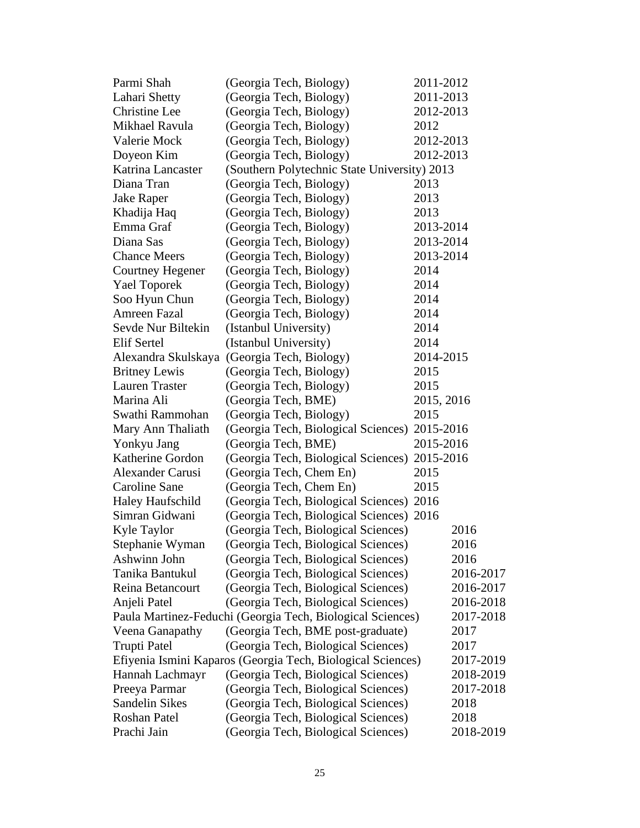| Parmi Shah              | (Georgia Tech, Biology)                                     | 2011-2012  |
|-------------------------|-------------------------------------------------------------|------------|
| Lahari Shetty           | (Georgia Tech, Biology)                                     | 2011-2013  |
| Christine Lee           | (Georgia Tech, Biology)                                     | 2012-2013  |
| Mikhael Ravula          | (Georgia Tech, Biology)                                     | 2012       |
| Valerie Mock            | (Georgia Tech, Biology)                                     | 2012-2013  |
| Doyeon Kim              | (Georgia Tech, Biology)                                     | 2012-2013  |
| Katrina Lancaster       | (Southern Polytechnic State University) 2013                |            |
| Diana Tran              | (Georgia Tech, Biology)                                     | 2013       |
| Jake Raper              | (Georgia Tech, Biology)                                     | 2013       |
| Khadija Haq             | (Georgia Tech, Biology)                                     | 2013       |
| Emma Graf               | (Georgia Tech, Biology)                                     | 2013-2014  |
| Diana Sas               | (Georgia Tech, Biology)                                     | 2013-2014  |
| <b>Chance Meers</b>     | (Georgia Tech, Biology)                                     | 2013-2014  |
| Courtney Hegener        | (Georgia Tech, Biology)                                     | 2014       |
| <b>Yael Toporek</b>     | (Georgia Tech, Biology)                                     | 2014       |
| Soo Hyun Chun           | (Georgia Tech, Biology)                                     | 2014       |
| Amreen Fazal            | (Georgia Tech, Biology)                                     | 2014       |
| Sevde Nur Biltekin      | (Istanbul University)                                       | 2014       |
| Elif Sertel             | (Istanbul University)                                       | 2014       |
| Alexandra Skulskaya     | (Georgia Tech, Biology)                                     | 2014-2015  |
| <b>Britney Lewis</b>    | (Georgia Tech, Biology)                                     | 2015       |
| <b>Lauren Traster</b>   | (Georgia Tech, Biology)                                     | 2015       |
| Marina Ali              | (Georgia Tech, BME)                                         | 2015, 2016 |
| Swathi Rammohan         | (Georgia Tech, Biology)                                     | 2015       |
| Mary Ann Thaliath       | (Georgia Tech, Biological Sciences) 2015-2016               |            |
| Yonkyu Jang             | (Georgia Tech, BME)                                         | 2015-2016  |
| Katherine Gordon        | (Georgia Tech, Biological Sciences) 2015-2016               |            |
| Alexander Carusi        | (Georgia Tech, Chem En)                                     | 2015       |
| Caroline Sane           | (Georgia Tech, Chem En)                                     | 2015       |
| <b>Haley Haufschild</b> | (Georgia Tech, Biological Sciences) 2016                    |            |
| Simran Gidwani          | (Georgia Tech, Biological Sciences) 2016                    |            |
| Kyle Taylor             | (Georgia Tech, Biological Sciences)                         | 2016       |
| Stephanie Wyman         | (Georgia Tech, Biological Sciences)                         | 2016       |
| Ashwinn John            | (Georgia Tech, Biological Sciences)                         | 2016       |
| Tanika Bantukul         | (Georgia Tech, Biological Sciences)                         | 2016-2017  |
| Reina Betancourt        | (Georgia Tech, Biological Sciences)                         | 2016-2017  |
| Anjeli Patel            | (Georgia Tech, Biological Sciences)                         | 2016-2018  |
|                         | Paula Martinez-Feduchi (Georgia Tech, Biological Sciences)  | 2017-2018  |
| Veena Ganapathy         | (Georgia Tech, BME post-graduate)                           | 2017       |
| <b>Trupti Patel</b>     | (Georgia Tech, Biological Sciences)                         | 2017       |
|                         | Efiyenia Ismini Kaparos (Georgia Tech, Biological Sciences) | 2017-2019  |
| Hannah Lachmayr         | (Georgia Tech, Biological Sciences)                         | 2018-2019  |
| Preeya Parmar           | (Georgia Tech, Biological Sciences)                         | 2017-2018  |
| <b>Sandelin Sikes</b>   | (Georgia Tech, Biological Sciences)                         | 2018       |
| Roshan Patel            | (Georgia Tech, Biological Sciences)                         | 2018       |
| Prachi Jain             | (Georgia Tech, Biological Sciences)                         | 2018-2019  |
|                         |                                                             |            |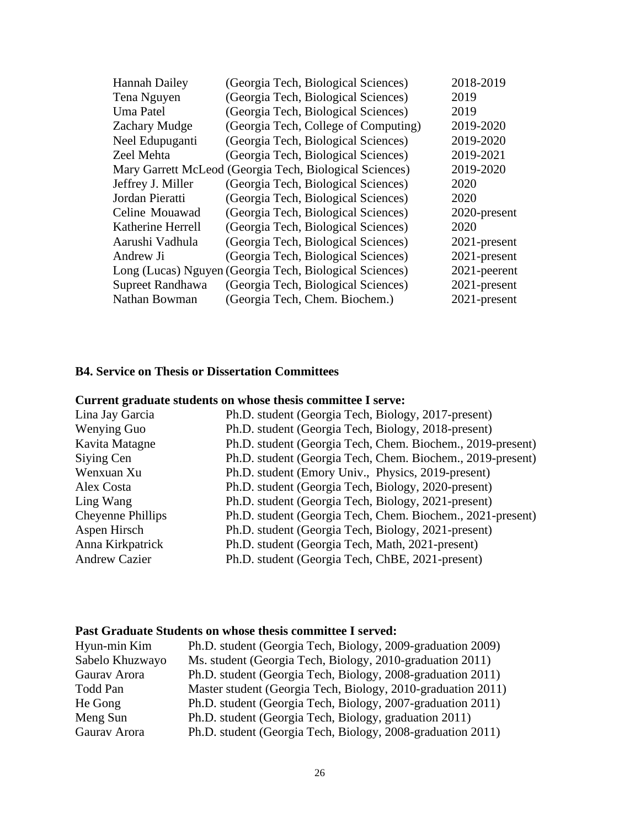| 2018-2019                                                                                                                                                                                                                                                                                                                                                                                                                                                                                                                                                                                                                                                                        |
|----------------------------------------------------------------------------------------------------------------------------------------------------------------------------------------------------------------------------------------------------------------------------------------------------------------------------------------------------------------------------------------------------------------------------------------------------------------------------------------------------------------------------------------------------------------------------------------------------------------------------------------------------------------------------------|
| 2019                                                                                                                                                                                                                                                                                                                                                                                                                                                                                                                                                                                                                                                                             |
| 2019                                                                                                                                                                                                                                                                                                                                                                                                                                                                                                                                                                                                                                                                             |
| 2019-2020                                                                                                                                                                                                                                                                                                                                                                                                                                                                                                                                                                                                                                                                        |
| 2019-2020                                                                                                                                                                                                                                                                                                                                                                                                                                                                                                                                                                                                                                                                        |
| 2019-2021                                                                                                                                                                                                                                                                                                                                                                                                                                                                                                                                                                                                                                                                        |
| 2019-2020                                                                                                                                                                                                                                                                                                                                                                                                                                                                                                                                                                                                                                                                        |
| 2020                                                                                                                                                                                                                                                                                                                                                                                                                                                                                                                                                                                                                                                                             |
| 2020                                                                                                                                                                                                                                                                                                                                                                                                                                                                                                                                                                                                                                                                             |
| 2020-present                                                                                                                                                                                                                                                                                                                                                                                                                                                                                                                                                                                                                                                                     |
| 2020                                                                                                                                                                                                                                                                                                                                                                                                                                                                                                                                                                                                                                                                             |
| 2021-present                                                                                                                                                                                                                                                                                                                                                                                                                                                                                                                                                                                                                                                                     |
| 2021-present                                                                                                                                                                                                                                                                                                                                                                                                                                                                                                                                                                                                                                                                     |
| 2021-peerent                                                                                                                                                                                                                                                                                                                                                                                                                                                                                                                                                                                                                                                                     |
| 2021-present                                                                                                                                                                                                                                                                                                                                                                                                                                                                                                                                                                                                                                                                     |
| 2021-present                                                                                                                                                                                                                                                                                                                                                                                                                                                                                                                                                                                                                                                                     |
| (Georgia Tech, Biological Sciences)<br>(Georgia Tech, Biological Sciences)<br>(Georgia Tech, Biological Sciences)<br>(Georgia Tech, College of Computing)<br>(Georgia Tech, Biological Sciences)<br>(Georgia Tech, Biological Sciences)<br>Mary Garrett McLeod (Georgia Tech, Biological Sciences)<br>(Georgia Tech, Biological Sciences)<br>(Georgia Tech, Biological Sciences)<br>(Georgia Tech, Biological Sciences)<br>(Georgia Tech, Biological Sciences)<br>(Georgia Tech, Biological Sciences)<br>(Georgia Tech, Biological Sciences)<br>Long (Lucas) Nguyen (Georgia Tech, Biological Sciences)<br>(Georgia Tech, Biological Sciences)<br>(Georgia Tech, Chem. Biochem.) |

#### **B4. Service on Thesis or Dissertation Committees**

# **Current graduate students on whose thesis committee I serve:**

| Lina Jay Garcia      | Ph.D. student (Georgia Tech, Biology, 2017-present)        |
|----------------------|------------------------------------------------------------|
| Wenying Guo          | Ph.D. student (Georgia Tech, Biology, 2018-present)        |
| Kavita Matagne       | Ph.D. student (Georgia Tech, Chem. Biochem., 2019-present) |
| Siying Cen           | Ph.D. student (Georgia Tech, Chem. Biochem., 2019-present) |
| Wenxuan Xu           | Ph.D. student (Emory Univ., Physics, 2019-present)         |
| Alex Costa           | Ph.D. student (Georgia Tech, Biology, 2020-present)        |
| Ling Wang            | Ph.D. student (Georgia Tech, Biology, 2021-present)        |
| Cheyenne Phillips    | Ph.D. student (Georgia Tech, Chem. Biochem., 2021-present) |
| Aspen Hirsch         | Ph.D. student (Georgia Tech, Biology, 2021-present)        |
| Anna Kirkpatrick     | Ph.D. student (Georgia Tech, Math, 2021-present)           |
| <b>Andrew Cazier</b> | Ph.D. student (Georgia Tech, ChBE, 2021-present)           |

### **Past Graduate Students on whose thesis committee I served:**

| Hyun-min Kim    | Ph.D. student (Georgia Tech, Biology, 2009-graduation 2009)  |
|-----------------|--------------------------------------------------------------|
| Sabelo Khuzwayo | Ms. student (Georgia Tech, Biology, 2010-graduation 2011)    |
| Gaurav Arora    | Ph.D. student (Georgia Tech, Biology, 2008-graduation 2011)  |
| Todd Pan        | Master student (Georgia Tech, Biology, 2010-graduation 2011) |
| He Gong         | Ph.D. student (Georgia Tech, Biology, 2007-graduation 2011)  |
| Meng Sun        | Ph.D. student (Georgia Tech, Biology, graduation 2011)       |
| Gaurav Arora    | Ph.D. student (Georgia Tech, Biology, 2008-graduation 2011)  |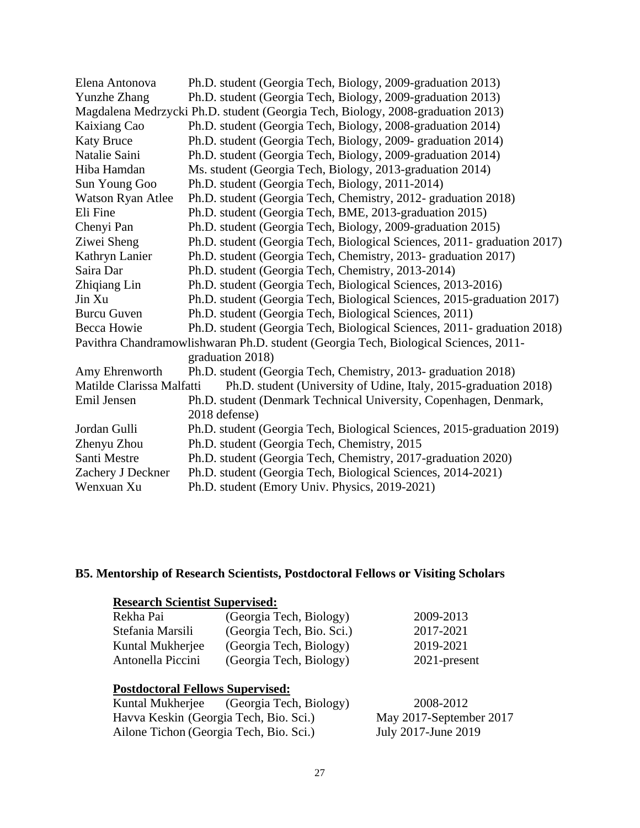| Elena Antonova            | Ph.D. student (Georgia Tech, Biology, 2009-graduation 2013)                          |
|---------------------------|--------------------------------------------------------------------------------------|
| <b>Yunzhe Zhang</b>       | Ph.D. student (Georgia Tech, Biology, 2009-graduation 2013)                          |
|                           | Magdalena Medrzycki Ph.D. student (Georgia Tech, Biology, 2008-graduation 2013)      |
| Kaixiang Cao              | Ph.D. student (Georgia Tech, Biology, 2008-graduation 2014)                          |
| <b>Katy Bruce</b>         | Ph.D. student (Georgia Tech, Biology, 2009- graduation 2014)                         |
| Natalie Saini             | Ph.D. student (Georgia Tech, Biology, 2009-graduation 2014)                          |
| Hiba Hamdan               | Ms. student (Georgia Tech, Biology, 2013-graduation 2014)                            |
| Sun Young Goo             | Ph.D. student (Georgia Tech, Biology, 2011-2014)                                     |
| Watson Ryan Atlee         | Ph.D. student (Georgia Tech, Chemistry, 2012- graduation 2018)                       |
| Eli Fine                  | Ph.D. student (Georgia Tech, BME, 2013-graduation 2015)                              |
| Chenyi Pan                | Ph.D. student (Georgia Tech, Biology, 2009-graduation 2015)                          |
| Ziwei Sheng               | Ph.D. student (Georgia Tech, Biological Sciences, 2011- graduation 2017)             |
| Kathryn Lanier            | Ph.D. student (Georgia Tech, Chemistry, 2013- graduation 2017)                       |
| Saira Dar                 | Ph.D. student (Georgia Tech, Chemistry, 2013-2014)                                   |
| Zhiqiang Lin              | Ph.D. student (Georgia Tech, Biological Sciences, 2013-2016)                         |
| Jin Xu                    | Ph.D. student (Georgia Tech, Biological Sciences, 2015-graduation 2017)              |
| <b>Burcu Guven</b>        | Ph.D. student (Georgia Tech, Biological Sciences, 2011)                              |
| Becca Howie               | Ph.D. student (Georgia Tech, Biological Sciences, 2011- graduation 2018)             |
|                           | Pavithra Chandramowlishwaran Ph.D. student (Georgia Tech, Biological Sciences, 2011- |
|                           | graduation 2018)                                                                     |
| Amy Ehrenworth            | Ph.D. student (Georgia Tech, Chemistry, 2013- graduation 2018)                       |
| Matilde Clarissa Malfatti | Ph.D. student (University of Udine, Italy, 2015-graduation 2018)                     |
| Emil Jensen               | Ph.D. student (Denmark Technical University, Copenhagen, Denmark,                    |
|                           | 2018 defense)                                                                        |
| Jordan Gulli              | Ph.D. student (Georgia Tech, Biological Sciences, 2015-graduation 2019)              |
| Zhenyu Zhou               | Ph.D. student (Georgia Tech, Chemistry, 2015)                                        |
| Santi Mestre              | Ph.D. student (Georgia Tech, Chemistry, 2017-graduation 2020)                        |
| Zachery J Deckner         | Ph.D. student (Georgia Tech, Biological Sciences, 2014-2021)                         |
| Wenxuan Xu                | Ph.D. student (Emory Univ. Physics, 2019-2021)                                       |

### **B5. Mentorship of Research Scientists, Postdoctoral Fellows or Visiting Scholars**

# **Research Scientist Supervised:** Rekha Pai (Georgia Tech, Biology) 2009-2013 Stefania Marsili (Georgia Tech, Bio. Sci.) 2017-2021

| лістанна імаї мін | (OCUILIA TECH, DIU. OCI.) | $2011 - 2021$ |
|-------------------|---------------------------|---------------|
| Kuntal Mukherjee  | (Georgia Tech, Biology)   | 2019-2021     |
| Antonella Piccini | (Georgia Tech, Biology)   | 2021-present  |

# **Postdoctoral Fellows Supervised:**

| Kuntal Mukherjee | (Georgia Tech, Biology)                 | 2008-2012               |
|------------------|-----------------------------------------|-------------------------|
|                  | Havva Keskin (Georgia Tech, Bio. Sci.)  | May 2017-September 2017 |
|                  | Ailone Tichon (Georgia Tech, Bio. Sci.) | July 2017-June 2019     |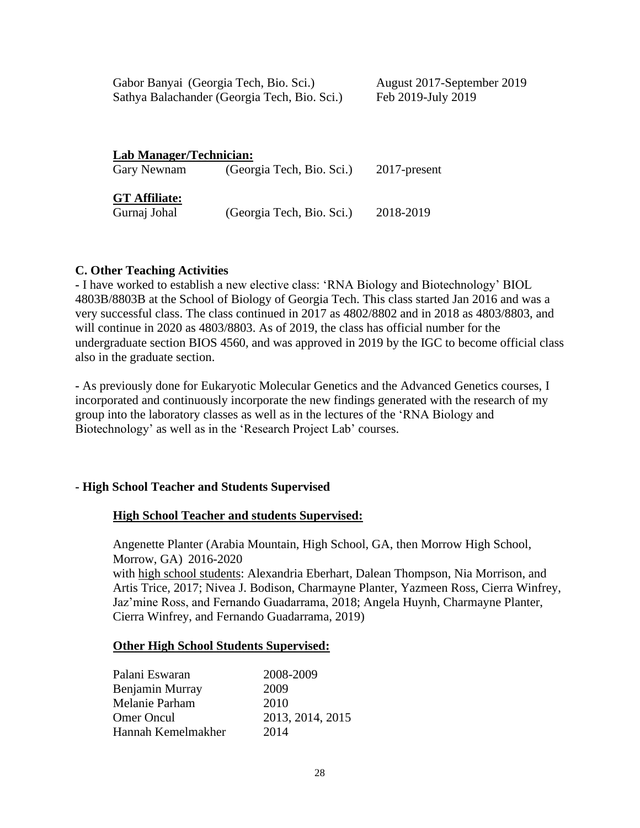| Gabor Banyai (Georgia Tech, Bio. Sci.)       | August 2017-September 2019 |
|----------------------------------------------|----------------------------|
| Sathya Balachander (Georgia Tech, Bio. Sci.) | Feb 2019-July 2019         |
|                                              |                            |
|                                              |                            |

| <b>Lab Manager/Technician:</b> |                           |              |
|--------------------------------|---------------------------|--------------|
| Gary Newnam                    | (Georgia Tech, Bio. Sci.) | 2017-present |
| GT Affiliate:<br>Gurnaj Johal  | (Georgia Tech, Bio. Sci.) | 2018-2019    |
|                                |                           |              |

### **C. Other Teaching Activities**

**-** I have worked to establish a new elective class: 'RNA Biology and Biotechnology' BIOL 4803B/8803B at the School of Biology of Georgia Tech. This class started Jan 2016 and was a very successful class. The class continued in 2017 as 4802/8802 and in 2018 as 4803/8803, and will continue in 2020 as 4803/8803. As of 2019, the class has official number for the undergraduate section BIOS 4560, and was approved in 2019 by the IGC to become official class also in the graduate section.

**-** As previously done for Eukaryotic Molecular Genetics and the Advanced Genetics courses, I incorporated and continuously incorporate the new findings generated with the research of my group into the laboratory classes as well as in the lectures of the 'RNA Biology and Biotechnology' as well as in the 'Research Project Lab' courses.

### **- High School Teacher and Students Supervised**

### **High School Teacher and students Supervised:**

Angenette Planter (Arabia Mountain, High School, GA, then Morrow High School, Morrow, GA) 2016-2020 with high school students: Alexandria Eberhart, Dalean Thompson, Nia Morrison, and Artis Trice, 2017; Nivea J. Bodison, Charmayne Planter, Yazmeen Ross, Cierra Winfrey, Jaz'mine Ross, and Fernando Guadarrama, 2018; Angela Huynh, Charmayne Planter, Cierra Winfrey, and Fernando Guadarrama, 2019)

### **Other High School Students Supervised:**

| Palani Eswaran     | 2008-2009        |
|--------------------|------------------|
| Benjamin Murray    | 2009             |
| Melanie Parham     | 2010             |
| <b>Omer Oncul</b>  | 2013, 2014, 2015 |
| Hannah Kemelmakher | 2014             |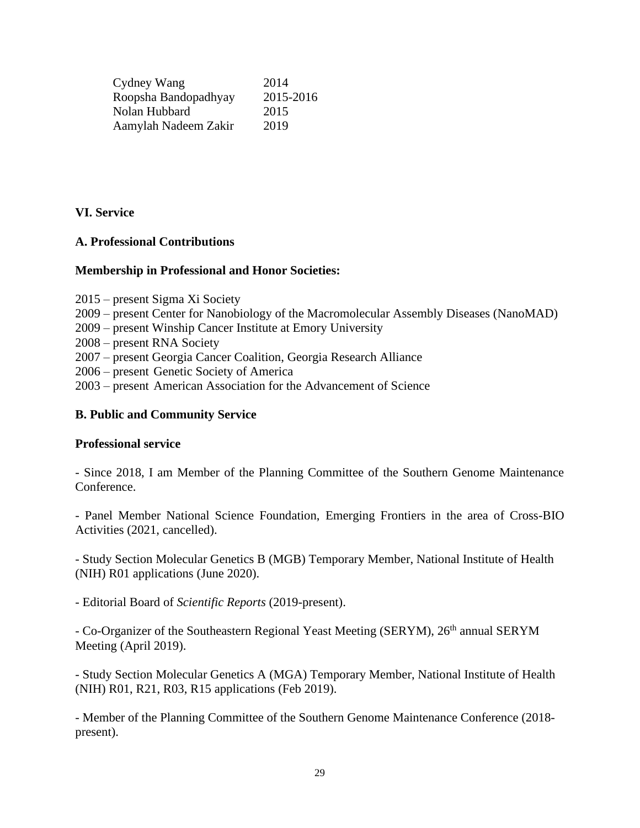| Cydney Wang          | 2014      |
|----------------------|-----------|
| Roopsha Bandopadhyay | 2015-2016 |
| Nolan Hubbard        | 2015      |
| Aamylah Nadeem Zakir | 2019      |

## **VI. Service**

### **A. Professional Contributions**

### **Membership in Professional and Honor Societies:**

- 2015 present Sigma Xi Society
- 2009 present Center for Nanobiology of the Macromolecular Assembly Diseases (NanoMAD)
- 2009 present Winship Cancer Institute at Emory University
- 2008 present RNA Society
- 2007 present Georgia Cancer Coalition, Georgia Research Alliance
- 2006 present Genetic Society of America
- 2003 present American Association for the Advancement of Science

### **B. Public and Community Service**

#### **Professional service**

- Since 2018, I am Member of the Planning Committee of the Southern Genome Maintenance Conference.

- Panel Member National Science Foundation, Emerging Frontiers in the area of Cross-BIO Activities (2021, cancelled).

- Study Section Molecular Genetics B (MGB) Temporary Member, National Institute of Health (NIH) R01 applications (June 2020).

- Editorial Board of *Scientific Reports* (2019-present).

- Co-Organizer of the Southeastern Regional Yeast Meeting (SERYM), 26<sup>th</sup> annual SERYM Meeting (April 2019).

- Study Section Molecular Genetics A (MGA) Temporary Member, National Institute of Health (NIH) R01, R21, R03, R15 applications (Feb 2019).

- Member of the Planning Committee of the Southern Genome Maintenance Conference (2018 present).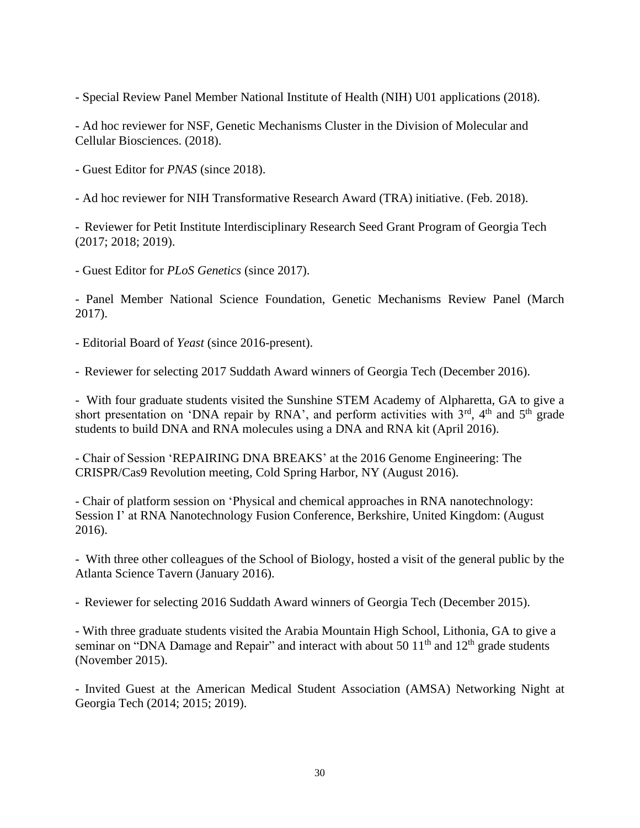- Special Review Panel Member National Institute of Health (NIH) U01 applications (2018).

- Ad hoc reviewer for NSF, Genetic Mechanisms Cluster in the Division of Molecular and Cellular Biosciences. (2018).

- Guest Editor for *PNAS* (since 2018).

- Ad hoc reviewer for NIH Transformative Research Award (TRA) initiative. (Feb. 2018).

- Reviewer for Petit Institute Interdisciplinary Research Seed Grant Program of Georgia Tech (2017; 2018; 2019).

- Guest Editor for *PLoS Genetics* (since 2017).

- Panel Member National Science Foundation, Genetic Mechanisms Review Panel (March 2017).

- Editorial Board of *Yeast* (since 2016-present).

- Reviewer for selecting 2017 Suddath Award winners of Georgia Tech (December 2016).

- With four graduate students visited the Sunshine STEM Academy of Alpharetta, GA to give a short presentation on 'DNA repair by RNA', and perform activities with  $3<sup>rd</sup>$ ,  $4<sup>th</sup>$  and  $5<sup>th</sup>$  grade students to build DNA and RNA molecules using a DNA and RNA kit (April 2016).

- Chair of Session 'REPAIRING DNA BREAKS' at the 2016 Genome Engineering: The CRISPR/Cas9 Revolution meeting, Cold Spring Harbor, NY (August 2016).

- Chair of platform session on 'Physical and chemical approaches in RNA nanotechnology: Session I' at RNA Nanotechnology Fusion Conference, Berkshire, United Kingdom: (August 2016).

- With three other colleagues of the School of Biology, hosted a visit of the general public by the Atlanta Science Tavern (January 2016).

- Reviewer for selecting 2016 Suddath Award winners of Georgia Tech (December 2015).

- With three graduate students visited the Arabia Mountain High School, Lithonia, GA to give a seminar on "DNA Damage and Repair" and interact with about 50  $11<sup>th</sup>$  and  $12<sup>th</sup>$  grade students (November 2015).

- Invited Guest at the American Medical Student Association (AMSA) Networking Night at Georgia Tech (2014; 2015; 2019).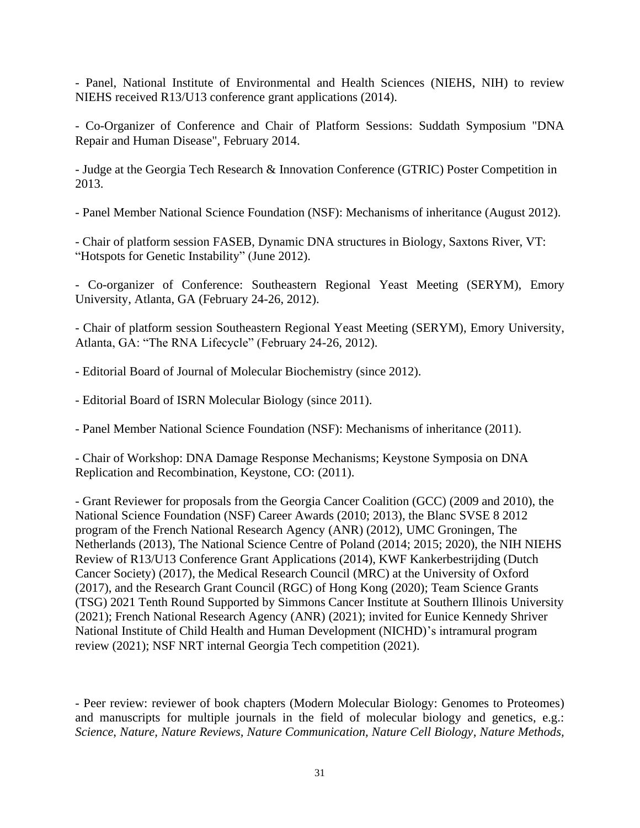- Panel, National Institute of Environmental and Health Sciences (NIEHS, NIH) to review NIEHS received R13/U13 conference grant applications (2014).

- Co-Organizer of Conference and Chair of Platform Sessions: Suddath Symposium "DNA Repair and Human Disease", February 2014.

- Judge at the Georgia Tech Research & Innovation Conference (GTRIC) Poster Competition in 2013.

- Panel Member National Science Foundation (NSF): Mechanisms of inheritance (August 2012).

- Chair of platform session FASEB, Dynamic DNA structures in Biology, Saxtons River, VT: "Hotspots for Genetic Instability" (June 2012).

- Co-organizer of Conference: Southeastern Regional Yeast Meeting (SERYM), Emory University, Atlanta, GA (February 24-26, 2012).

- Chair of platform session Southeastern Regional Yeast Meeting (SERYM), Emory University, Atlanta, GA: "The RNA Lifecycle" (February 24-26, 2012).

- Editorial Board of Journal of Molecular Biochemistry (since 2012).

- Editorial Board of ISRN Molecular Biology (since 2011).

- Panel Member National Science Foundation (NSF): Mechanisms of inheritance (2011).

- Chair of Workshop: DNA Damage Response Mechanisms; Keystone Symposia on DNA Replication and Recombination, Keystone, CO: (2011).

- Grant Reviewer for proposals from the Georgia Cancer Coalition (GCC) (2009 and 2010), the National Science Foundation (NSF) Career Awards (2010; 2013), the Blanc SVSE 8 2012 program of the French National Research Agency (ANR) (2012), UMC Groningen, The Netherlands (2013), The National Science Centre of Poland (2014; 2015; 2020), the NIH NIEHS Review of R13/U13 Conference Grant Applications (2014), KWF Kankerbestrijding (Dutch Cancer Society) (2017), the Medical Research Council (MRC) at the University of Oxford (2017), and the Research Grant Council (RGC) of Hong Kong (2020); Team Science Grants (TSG) 2021 Tenth Round Supported by Simmons Cancer Institute at Southern Illinois University (2021); French National Research Agency (ANR) (2021); invited for Eunice Kennedy Shriver National Institute of Child Health and Human Development (NICHD)'s intramural program review (2021); NSF NRT internal Georgia Tech competition (2021).

- Peer review: reviewer of book chapters (Modern Molecular Biology: Genomes to Proteomes) and manuscripts for multiple journals in the field of molecular biology and genetics, e.g.: *Science*, *Nature, Nature Reviews, Nature Communication, Nature Cell Biology, Nature Methods,*